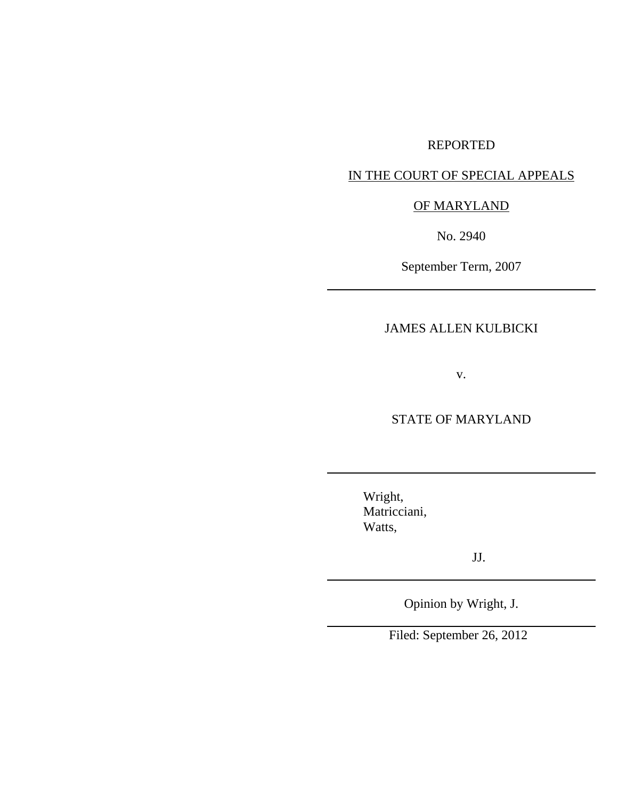## REPORTED

# IN THE COURT OF SPECIAL APPEALS

## OF MARYLAND

No. 2940

September Term, 2007

## JAMES ALLEN KULBICKI

v.

## STATE OF MARYLAND

Wright, Matricciani, Watts,

JJ.

Opinion by Wright, J.

Filed: September 26, 2012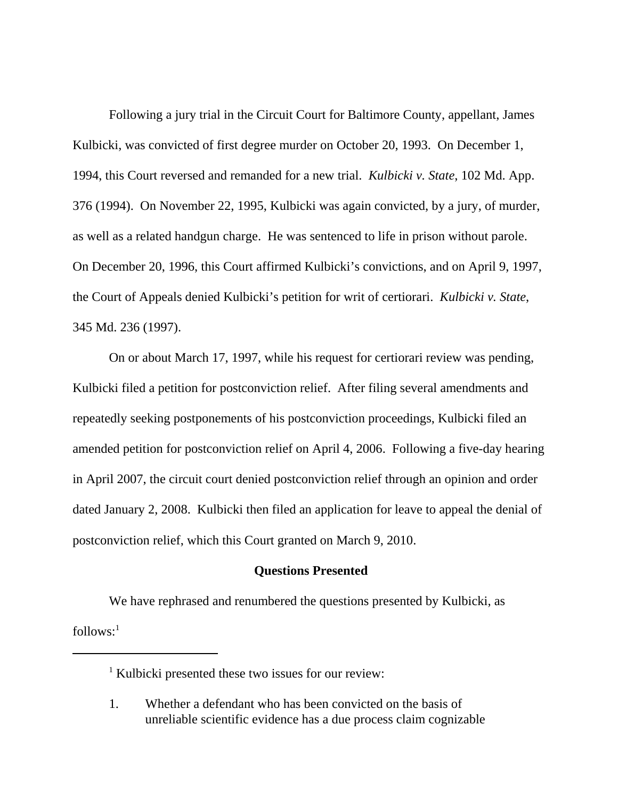Following a jury trial in the Circuit Court for Baltimore County, appellant, James Kulbicki, was convicted of first degree murder on October 20, 1993. On December 1, 1994, this Court reversed and remanded for a new trial. *Kulbicki v. State*, 102 Md. App. 376 (1994). On November 22, 1995, Kulbicki was again convicted, by a jury, of murder, as well as a related handgun charge. He was sentenced to life in prison without parole. On December 20, 1996, this Court affirmed Kulbicki's convictions, and on April 9, 1997, the Court of Appeals denied Kulbicki's petition for writ of certiorari. *Kulbicki v. State*, 345 Md. 236 (1997).

On or about March 17, 1997, while his request for certiorari review was pending, Kulbicki filed a petition for postconviction relief. After filing several amendments and repeatedly seeking postponements of his postconviction proceedings, Kulbicki filed an amended petition for postconviction relief on April 4, 2006. Following a five-day hearing in April 2007, the circuit court denied postconviction relief through an opinion and order dated January 2, 2008. Kulbicki then filed an application for leave to appeal the denial of postconviction relief, which this Court granted on March 9, 2010.

#### **Questions Presented**

We have rephrased and renumbered the questions presented by Kulbicki, as  $follows:$ <sup>1</sup>

<sup>&</sup>lt;sup>1</sup> Kulbicki presented these two issues for our review:

<sup>1.</sup> Whether a defendant who has been convicted on the basis of unreliable scientific evidence has a due process claim cognizable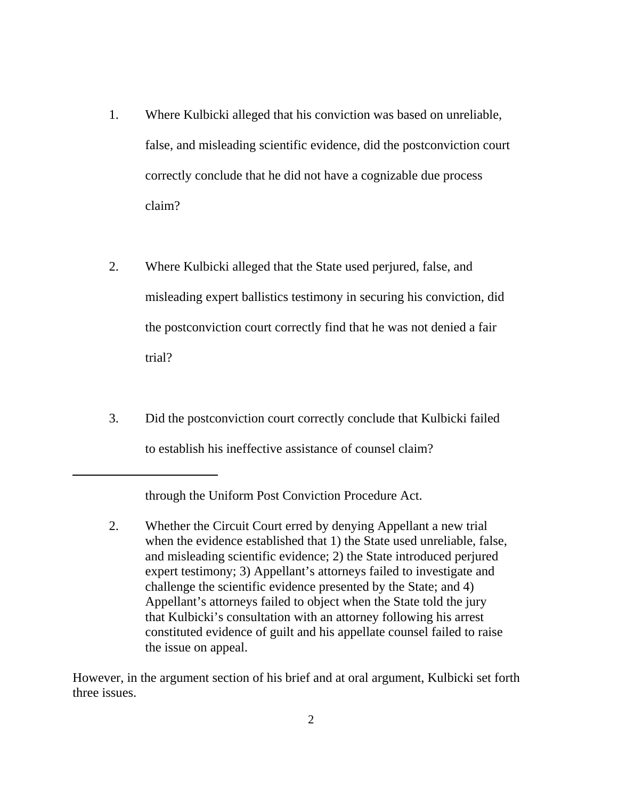- 1. Where Kulbicki alleged that his conviction was based on unreliable, false, and misleading scientific evidence, did the postconviction court correctly conclude that he did not have a cognizable due process claim?
- 2. Where Kulbicki alleged that the State used perjured, false, and misleading expert ballistics testimony in securing his conviction, did the postconviction court correctly find that he was not denied a fair trial?
- 3. Did the postconviction court correctly conclude that Kulbicki failed to establish his ineffective assistance of counsel claim?

through the Uniform Post Conviction Procedure Act.

2. Whether the Circuit Court erred by denying Appellant a new trial when the evidence established that 1) the State used unreliable, false, and misleading scientific evidence; 2) the State introduced perjured expert testimony; 3) Appellant's attorneys failed to investigate and challenge the scientific evidence presented by the State; and 4) Appellant's attorneys failed to object when the State told the jury that Kulbicki's consultation with an attorney following his arrest constituted evidence of guilt and his appellate counsel failed to raise the issue on appeal.

However, in the argument section of his brief and at oral argument, Kulbicki set forth three issues.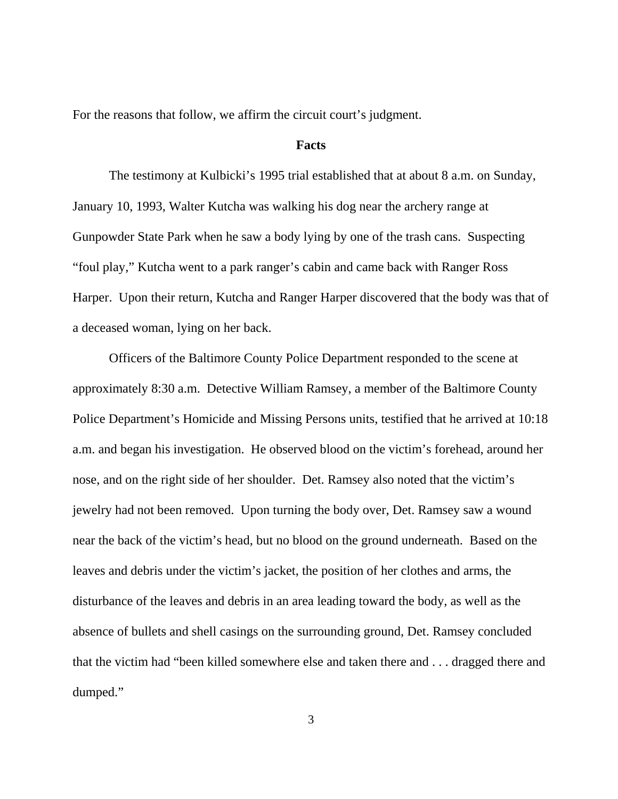For the reasons that follow, we affirm the circuit court's judgment.

#### **Facts**

The testimony at Kulbicki's 1995 trial established that at about 8 a.m. on Sunday, January 10, 1993, Walter Kutcha was walking his dog near the archery range at Gunpowder State Park when he saw a body lying by one of the trash cans. Suspecting "foul play," Kutcha went to a park ranger's cabin and came back with Ranger Ross Harper. Upon their return, Kutcha and Ranger Harper discovered that the body was that of a deceased woman, lying on her back.

Officers of the Baltimore County Police Department responded to the scene at approximately 8:30 a.m. Detective William Ramsey, a member of the Baltimore County Police Department's Homicide and Missing Persons units, testified that he arrived at 10:18 a.m. and began his investigation. He observed blood on the victim's forehead, around her nose, and on the right side of her shoulder. Det. Ramsey also noted that the victim's jewelry had not been removed. Upon turning the body over, Det. Ramsey saw a wound near the back of the victim's head, but no blood on the ground underneath. Based on the leaves and debris under the victim's jacket, the position of her clothes and arms, the disturbance of the leaves and debris in an area leading toward the body, as well as the absence of bullets and shell casings on the surrounding ground, Det. Ramsey concluded that the victim had "been killed somewhere else and taken there and . . . dragged there and dumped."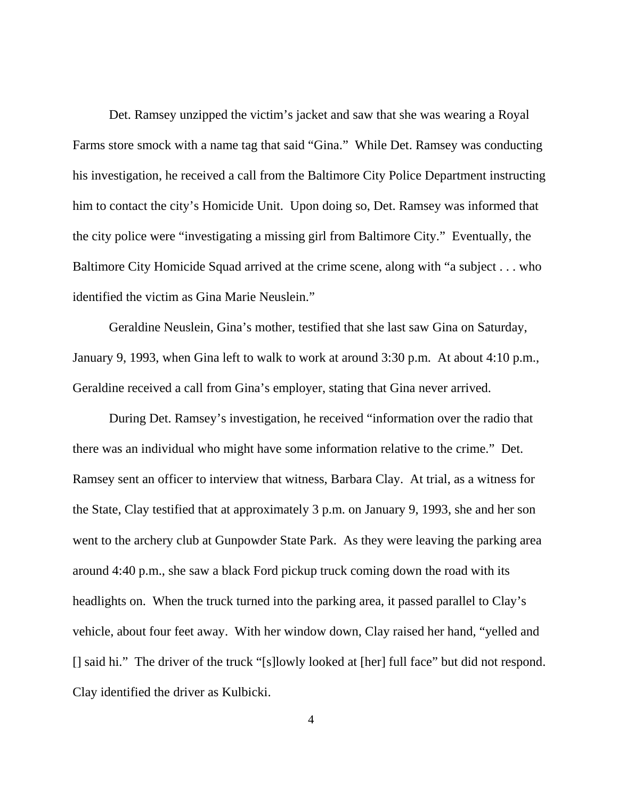Det. Ramsey unzipped the victim's jacket and saw that she was wearing a Royal Farms store smock with a name tag that said "Gina." While Det. Ramsey was conducting his investigation, he received a call from the Baltimore City Police Department instructing him to contact the city's Homicide Unit. Upon doing so, Det. Ramsey was informed that the city police were "investigating a missing girl from Baltimore City." Eventually, the Baltimore City Homicide Squad arrived at the crime scene, along with "a subject . . . who identified the victim as Gina Marie Neuslein."

Geraldine Neuslein, Gina's mother, testified that she last saw Gina on Saturday, January 9, 1993, when Gina left to walk to work at around 3:30 p.m. At about 4:10 p.m., Geraldine received a call from Gina's employer, stating that Gina never arrived.

During Det. Ramsey's investigation, he received "information over the radio that there was an individual who might have some information relative to the crime." Det. Ramsey sent an officer to interview that witness, Barbara Clay. At trial, as a witness for the State, Clay testified that at approximately 3 p.m. on January 9, 1993, she and her son went to the archery club at Gunpowder State Park. As they were leaving the parking area around 4:40 p.m., she saw a black Ford pickup truck coming down the road with its headlights on. When the truck turned into the parking area, it passed parallel to Clay's vehicle, about four feet away. With her window down, Clay raised her hand, "yelled and [] said hi." The driver of the truck "[s]lowly looked at [her] full face" but did not respond. Clay identified the driver as Kulbicki.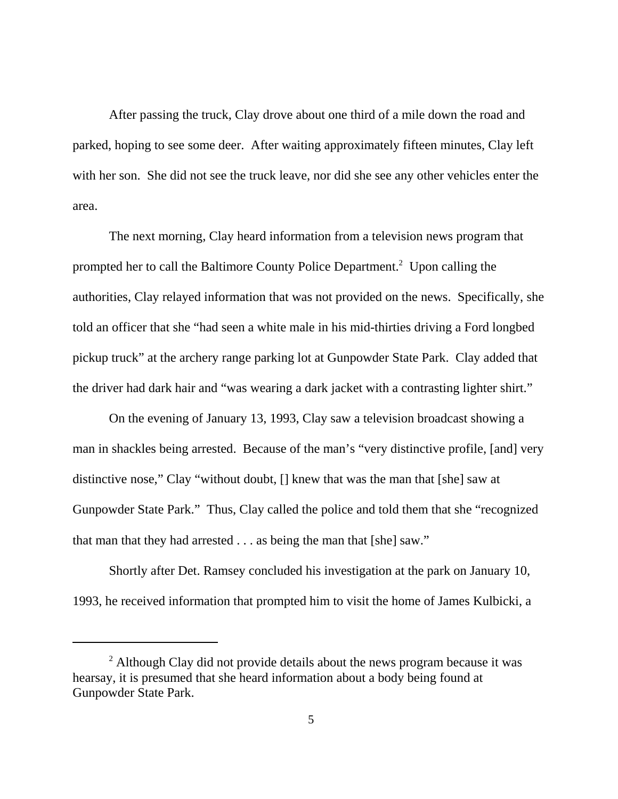After passing the truck, Clay drove about one third of a mile down the road and parked, hoping to see some deer. After waiting approximately fifteen minutes, Clay left with her son. She did not see the truck leave, nor did she see any other vehicles enter the area.

The next morning, Clay heard information from a television news program that prompted her to call the Baltimore County Police Department.<sup>2</sup> Upon calling the authorities, Clay relayed information that was not provided on the news. Specifically, she told an officer that she "had seen a white male in his mid-thirties driving a Ford longbed pickup truck" at the archery range parking lot at Gunpowder State Park. Clay added that the driver had dark hair and "was wearing a dark jacket with a contrasting lighter shirt."

On the evening of January 13, 1993, Clay saw a television broadcast showing a man in shackles being arrested. Because of the man's "very distinctive profile, [and] very distinctive nose," Clay "without doubt, [] knew that was the man that [she] saw at Gunpowder State Park." Thus, Clay called the police and told them that she "recognized that man that they had arrested . . . as being the man that [she] saw."

Shortly after Det. Ramsey concluded his investigation at the park on January 10, 1993, he received information that prompted him to visit the home of James Kulbicki, a

 $2$  Although Clay did not provide details about the news program because it was hearsay, it is presumed that she heard information about a body being found at Gunpowder State Park.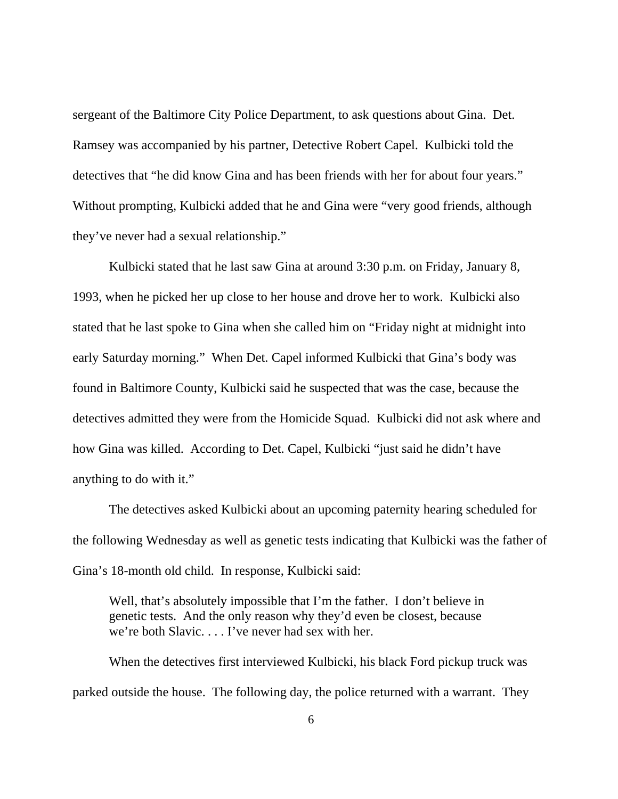sergeant of the Baltimore City Police Department, to ask questions about Gina. Det. Ramsey was accompanied by his partner, Detective Robert Capel. Kulbicki told the detectives that "he did know Gina and has been friends with her for about four years." Without prompting, Kulbicki added that he and Gina were "very good friends, although they've never had a sexual relationship."

Kulbicki stated that he last saw Gina at around 3:30 p.m. on Friday, January 8, 1993, when he picked her up close to her house and drove her to work. Kulbicki also stated that he last spoke to Gina when she called him on "Friday night at midnight into early Saturday morning." When Det. Capel informed Kulbicki that Gina's body was found in Baltimore County, Kulbicki said he suspected that was the case, because the detectives admitted they were from the Homicide Squad. Kulbicki did not ask where and how Gina was killed. According to Det. Capel, Kulbicki "just said he didn't have anything to do with it."

The detectives asked Kulbicki about an upcoming paternity hearing scheduled for the following Wednesday as well as genetic tests indicating that Kulbicki was the father of Gina's 18-month old child. In response, Kulbicki said:

Well, that's absolutely impossible that I'm the father. I don't believe in genetic tests. And the only reason why they'd even be closest, because we're both Slavic. . . . I've never had sex with her.

When the detectives first interviewed Kulbicki, his black Ford pickup truck was parked outside the house. The following day, the police returned with a warrant. They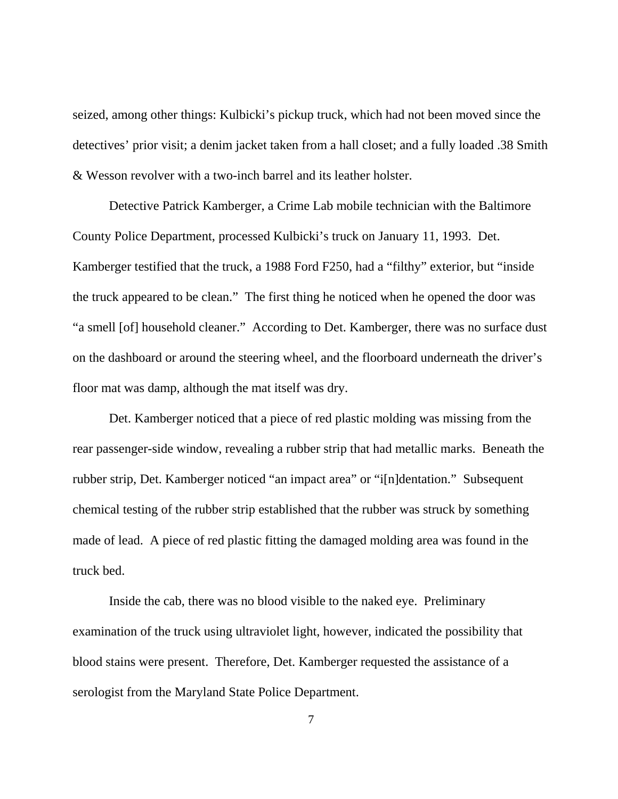seized, among other things: Kulbicki's pickup truck, which had not been moved since the detectives' prior visit; a denim jacket taken from a hall closet; and a fully loaded .38 Smith & Wesson revolver with a two-inch barrel and its leather holster.

Detective Patrick Kamberger, a Crime Lab mobile technician with the Baltimore County Police Department, processed Kulbicki's truck on January 11, 1993. Det. Kamberger testified that the truck, a 1988 Ford F250, had a "filthy" exterior, but "inside the truck appeared to be clean." The first thing he noticed when he opened the door was "a smell [of] household cleaner." According to Det. Kamberger, there was no surface dust on the dashboard or around the steering wheel, and the floorboard underneath the driver's floor mat was damp, although the mat itself was dry.

Det. Kamberger noticed that a piece of red plastic molding was missing from the rear passenger-side window, revealing a rubber strip that had metallic marks. Beneath the rubber strip, Det. Kamberger noticed "an impact area" or "i[n]dentation." Subsequent chemical testing of the rubber strip established that the rubber was struck by something made of lead. A piece of red plastic fitting the damaged molding area was found in the truck bed.

Inside the cab, there was no blood visible to the naked eye. Preliminary examination of the truck using ultraviolet light, however, indicated the possibility that blood stains were present. Therefore, Det. Kamberger requested the assistance of a serologist from the Maryland State Police Department.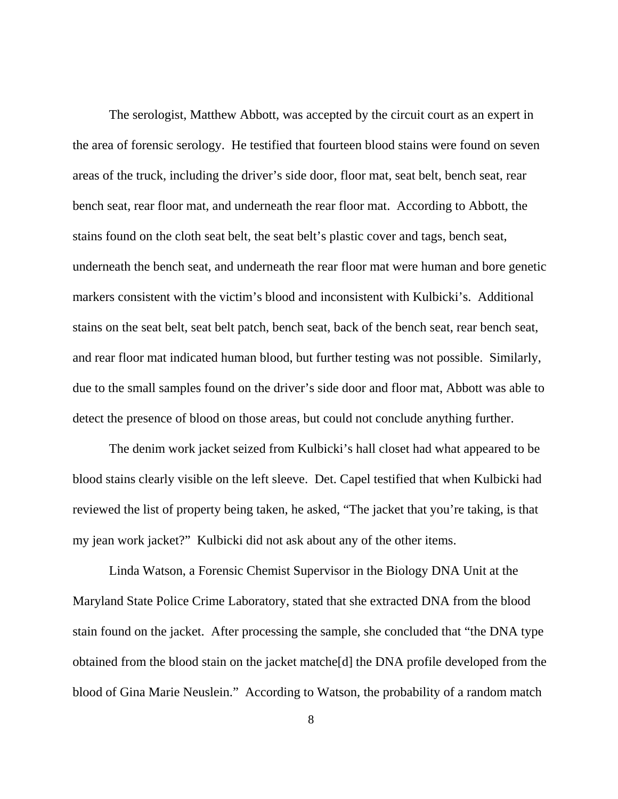The serologist, Matthew Abbott, was accepted by the circuit court as an expert in the area of forensic serology. He testified that fourteen blood stains were found on seven areas of the truck, including the driver's side door, floor mat, seat belt, bench seat, rear bench seat, rear floor mat, and underneath the rear floor mat. According to Abbott, the stains found on the cloth seat belt, the seat belt's plastic cover and tags, bench seat, underneath the bench seat, and underneath the rear floor mat were human and bore genetic markers consistent with the victim's blood and inconsistent with Kulbicki's. Additional stains on the seat belt, seat belt patch, bench seat, back of the bench seat, rear bench seat, and rear floor mat indicated human blood, but further testing was not possible. Similarly, due to the small samples found on the driver's side door and floor mat, Abbott was able to detect the presence of blood on those areas, but could not conclude anything further.

The denim work jacket seized from Kulbicki's hall closet had what appeared to be blood stains clearly visible on the left sleeve. Det. Capel testified that when Kulbicki had reviewed the list of property being taken, he asked, "The jacket that you're taking, is that my jean work jacket?" Kulbicki did not ask about any of the other items.

Linda Watson, a Forensic Chemist Supervisor in the Biology DNA Unit at the Maryland State Police Crime Laboratory, stated that she extracted DNA from the blood stain found on the jacket. After processing the sample, she concluded that "the DNA type obtained from the blood stain on the jacket matche[d] the DNA profile developed from the blood of Gina Marie Neuslein." According to Watson, the probability of a random match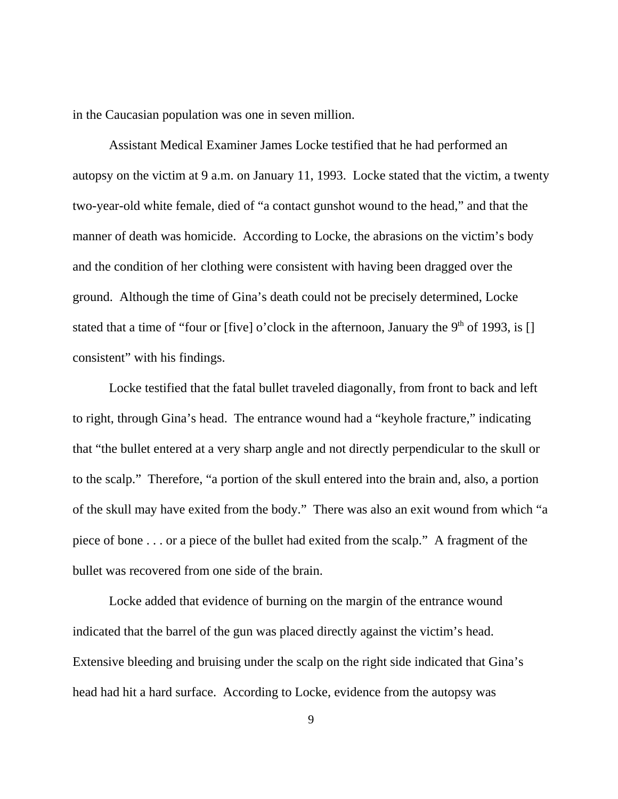in the Caucasian population was one in seven million.

Assistant Medical Examiner James Locke testified that he had performed an autopsy on the victim at 9 a.m. on January 11, 1993. Locke stated that the victim, a twenty two-year-old white female, died of "a contact gunshot wound to the head," and that the manner of death was homicide. According to Locke, the abrasions on the victim's body and the condition of her clothing were consistent with having been dragged over the ground. Although the time of Gina's death could not be precisely determined, Locke stated that a time of "four or [five] o'clock in the afternoon, January the 9<sup>th</sup> of 1993, is [] consistent" with his findings.

Locke testified that the fatal bullet traveled diagonally, from front to back and left to right, through Gina's head. The entrance wound had a "keyhole fracture," indicating that "the bullet entered at a very sharp angle and not directly perpendicular to the skull or to the scalp." Therefore, "a portion of the skull entered into the brain and, also, a portion of the skull may have exited from the body." There was also an exit wound from which "a piece of bone . . . or a piece of the bullet had exited from the scalp." A fragment of the bullet was recovered from one side of the brain.

Locke added that evidence of burning on the margin of the entrance wound indicated that the barrel of the gun was placed directly against the victim's head. Extensive bleeding and bruising under the scalp on the right side indicated that Gina's head had hit a hard surface. According to Locke, evidence from the autopsy was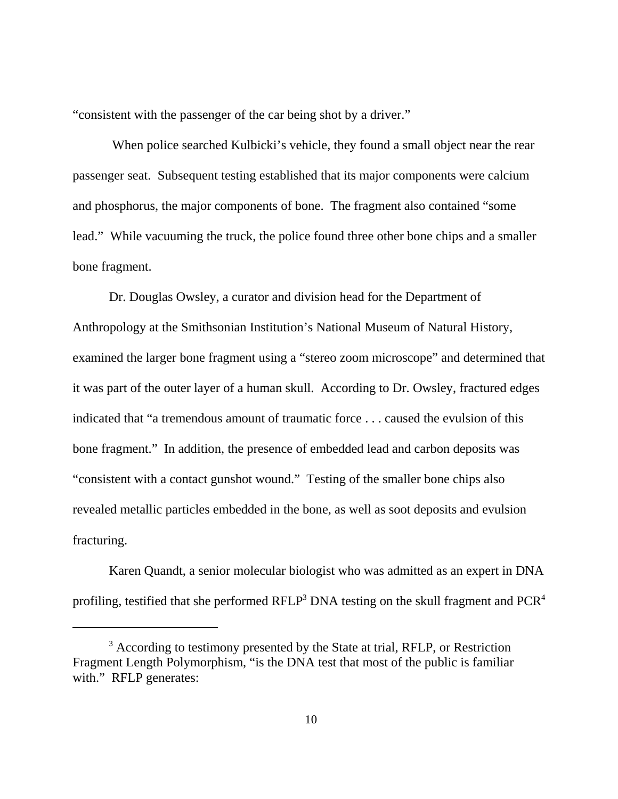"consistent with the passenger of the car being shot by a driver."

 When police searched Kulbicki's vehicle, they found a small object near the rear passenger seat. Subsequent testing established that its major components were calcium and phosphorus, the major components of bone. The fragment also contained "some lead." While vacuuming the truck, the police found three other bone chips and a smaller bone fragment.

Dr. Douglas Owsley, a curator and division head for the Department of Anthropology at the Smithsonian Institution's National Museum of Natural History, examined the larger bone fragment using a "stereo zoom microscope" and determined that it was part of the outer layer of a human skull. According to Dr. Owsley, fractured edges indicated that "a tremendous amount of traumatic force . . . caused the evulsion of this bone fragment." In addition, the presence of embedded lead and carbon deposits was "consistent with a contact gunshot wound." Testing of the smaller bone chips also revealed metallic particles embedded in the bone, as well as soot deposits and evulsion fracturing.

Karen Quandt, a senior molecular biologist who was admitted as an expert in DNA profiling, testified that she performed RFLP<sup>3</sup> DNA testing on the skull fragment and PCR<sup>4</sup>

<sup>&</sup>lt;sup>3</sup> According to testimony presented by the State at trial, RFLP, or Restriction Fragment Length Polymorphism, "is the DNA test that most of the public is familiar with." RFLP generates: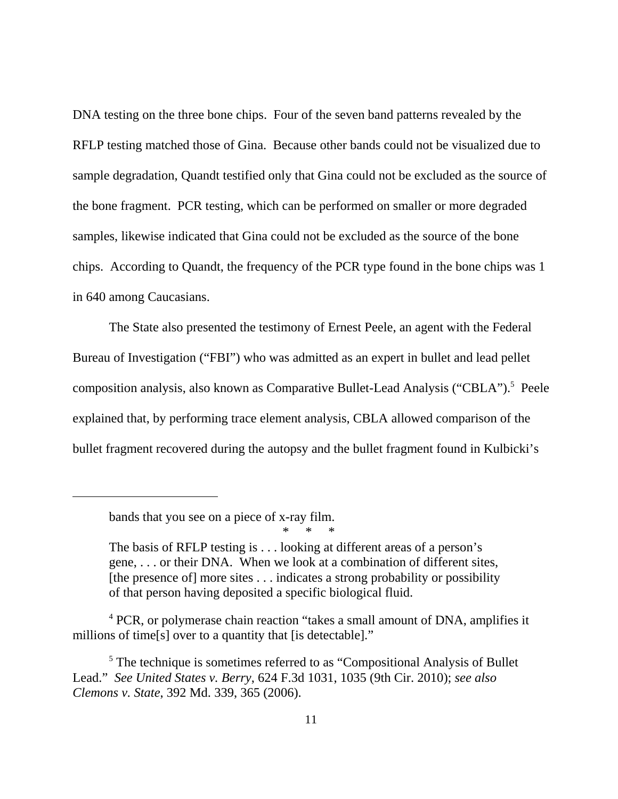DNA testing on the three bone chips. Four of the seven band patterns revealed by the RFLP testing matched those of Gina. Because other bands could not be visualized due to sample degradation, Quandt testified only that Gina could not be excluded as the source of the bone fragment. PCR testing, which can be performed on smaller or more degraded samples, likewise indicated that Gina could not be excluded as the source of the bone chips. According to Quandt, the frequency of the PCR type found in the bone chips was 1 in 640 among Caucasians.

The State also presented the testimony of Ernest Peele, an agent with the Federal Bureau of Investigation ("FBI") who was admitted as an expert in bullet and lead pellet composition analysis, also known as Comparative Bullet-Lead Analysis ("CBLA").<sup>5</sup> Peele explained that, by performing trace element analysis, CBLA allowed comparison of the bullet fragment recovered during the autopsy and the bullet fragment found in Kulbicki's

bands that you see on a piece of x-ray film. \* \* \*

<sup>4</sup> PCR, or polymerase chain reaction "takes a small amount of DNA, amplifies it millions of time[s] over to a quantity that [is detectable]."

The basis of RFLP testing is . . . looking at different areas of a person's gene, . . . or their DNA. When we look at a combination of different sites, [the presence of] more sites . . . indicates a strong probability or possibility of that person having deposited a specific biological fluid.

<sup>&</sup>lt;sup>5</sup> The technique is sometimes referred to as "Compositional Analysis of Bullet Lead." *See United States v. Berry*, 624 F.3d 1031, 1035 (9th Cir. 2010); *see also Clemons v. State*, 392 Md. 339, 365 (2006).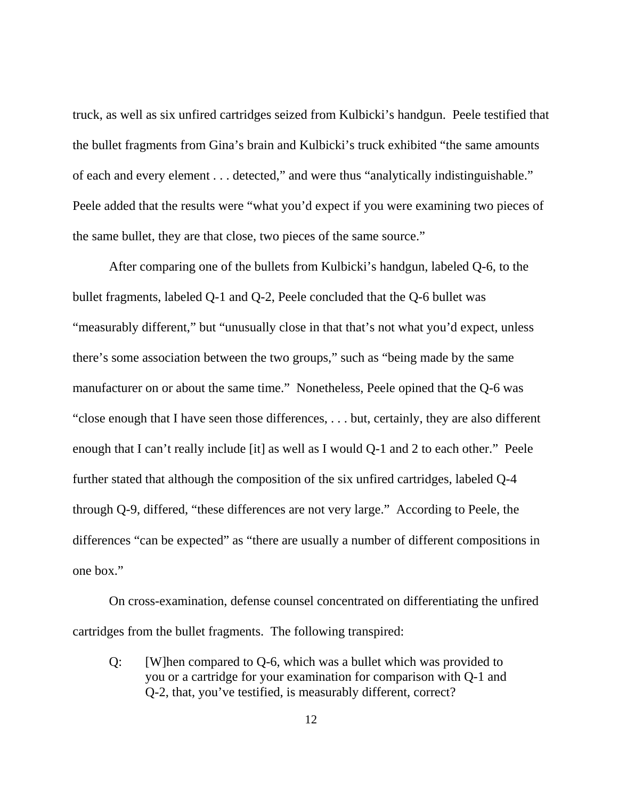truck, as well as six unfired cartridges seized from Kulbicki's handgun. Peele testified that the bullet fragments from Gina's brain and Kulbicki's truck exhibited "the same amounts of each and every element . . . detected," and were thus "analytically indistinguishable." Peele added that the results were "what you'd expect if you were examining two pieces of the same bullet, they are that close, two pieces of the same source."

After comparing one of the bullets from Kulbicki's handgun, labeled Q-6, to the bullet fragments, labeled Q-1 and Q-2, Peele concluded that the Q-6 bullet was "measurably different," but "unusually close in that that's not what you'd expect, unless there's some association between the two groups," such as "being made by the same manufacturer on or about the same time." Nonetheless, Peele opined that the Q-6 was "close enough that I have seen those differences, . . . but, certainly, they are also different enough that I can't really include [it] as well as I would Q-1 and 2 to each other." Peele further stated that although the composition of the six unfired cartridges, labeled Q-4 through Q-9, differed, "these differences are not very large." According to Peele, the differences "can be expected" as "there are usually a number of different compositions in one box."

On cross-examination, defense counsel concentrated on differentiating the unfired cartridges from the bullet fragments. The following transpired:

Q: [W]hen compared to Q-6, which was a bullet which was provided to you or a cartridge for your examination for comparison with Q-1 and Q-2, that, you've testified, is measurably different, correct?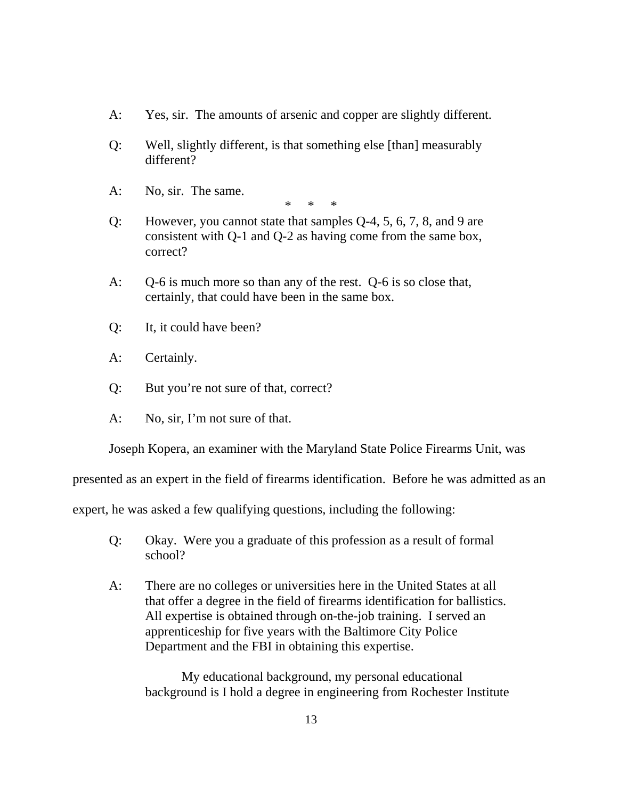- A: Yes, sir. The amounts of arsenic and copper are slightly different.
- Q: Well, slightly different, is that something else [than] measurably different?
- A: No, sir. The same.

\* \* \*

- Q: However, you cannot state that samples Q-4, 5, 6, 7, 8, and 9 are consistent with Q-1 and Q-2 as having come from the same box, correct?
- A: Q-6 is much more so than any of the rest. Q-6 is so close that, certainly, that could have been in the same box.
- Q: It, it could have been?
- A: Certainly.
- Q: But you're not sure of that, correct?
- A: No, sir, I'm not sure of that.

Joseph Kopera, an examiner with the Maryland State Police Firearms Unit, was

presented as an expert in the field of firearms identification. Before he was admitted as an

expert, he was asked a few qualifying questions, including the following:

- Q: Okay. Were you a graduate of this profession as a result of formal school?
- A: There are no colleges or universities here in the United States at all that offer a degree in the field of firearms identification for ballistics. All expertise is obtained through on-the-job training. I served an apprenticeship for five years with the Baltimore City Police Department and the FBI in obtaining this expertise.

My educational background, my personal educational background is I hold a degree in engineering from Rochester Institute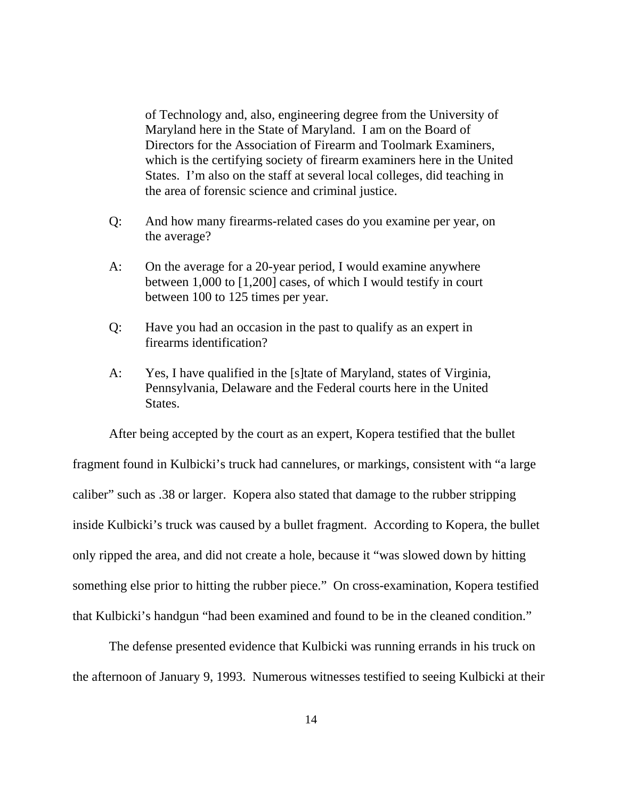of Technology and, also, engineering degree from the University of Maryland here in the State of Maryland. I am on the Board of Directors for the Association of Firearm and Toolmark Examiners, which is the certifying society of firearm examiners here in the United States. I'm also on the staff at several local colleges, did teaching in the area of forensic science and criminal justice.

- Q: And how many firearms-related cases do you examine per year, on the average?
- A: On the average for a 20-year period, I would examine anywhere between 1,000 to [1,200] cases, of which I would testify in court between 100 to 125 times per year.
- Q: Have you had an occasion in the past to qualify as an expert in firearms identification?
- A: Yes, I have qualified in the [s]tate of Maryland, states of Virginia, Pennsylvania, Delaware and the Federal courts here in the United States.

After being accepted by the court as an expert, Kopera testified that the bullet fragment found in Kulbicki's truck had cannelures, or markings, consistent with "a large caliber" such as .38 or larger. Kopera also stated that damage to the rubber stripping inside Kulbicki's truck was caused by a bullet fragment. According to Kopera, the bullet only ripped the area, and did not create a hole, because it "was slowed down by hitting something else prior to hitting the rubber piece." On cross-examination, Kopera testified that Kulbicki's handgun "had been examined and found to be in the cleaned condition."

The defense presented evidence that Kulbicki was running errands in his truck on the afternoon of January 9, 1993. Numerous witnesses testified to seeing Kulbicki at their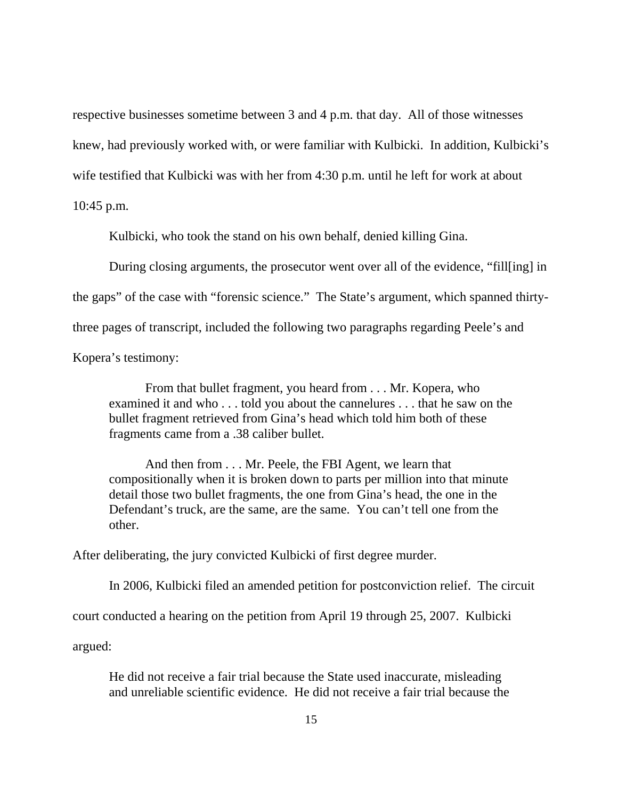respective businesses sometime between 3 and 4 p.m. that day. All of those witnesses knew, had previously worked with, or were familiar with Kulbicki. In addition, Kulbicki's wife testified that Kulbicki was with her from 4:30 p.m. until he left for work at about 10:45 p.m.

Kulbicki, who took the stand on his own behalf, denied killing Gina.

During closing arguments, the prosecutor went over all of the evidence, "fill[ing] in

the gaps" of the case with "forensic science." The State's argument, which spanned thirty-

three pages of transcript, included the following two paragraphs regarding Peele's and

Kopera's testimony:

From that bullet fragment, you heard from . . . Mr. Kopera, who examined it and who . . . told you about the cannelures . . . that he saw on the bullet fragment retrieved from Gina's head which told him both of these fragments came from a .38 caliber bullet.

And then from . . . Mr. Peele, the FBI Agent, we learn that compositionally when it is broken down to parts per million into that minute detail those two bullet fragments, the one from Gina's head, the one in the Defendant's truck, are the same, are the same. You can't tell one from the other.

After deliberating, the jury convicted Kulbicki of first degree murder.

In 2006, Kulbicki filed an amended petition for postconviction relief. The circuit court conducted a hearing on the petition from April 19 through 25, 2007. Kulbicki argued:

He did not receive a fair trial because the State used inaccurate, misleading and unreliable scientific evidence. He did not receive a fair trial because the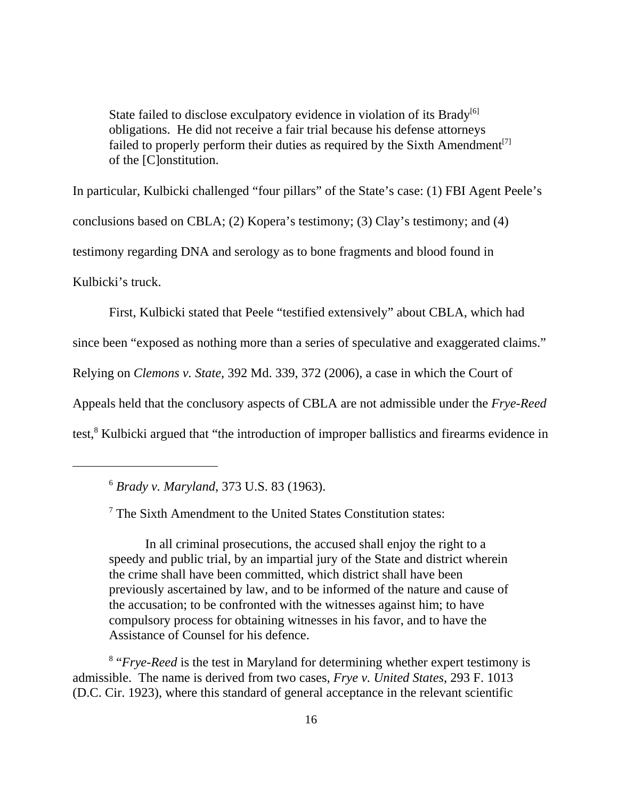State failed to disclose exculpatory evidence in violation of its Brady<sup>[6]</sup> obligations. He did not receive a fair trial because his defense attorneys failed to properly perform their duties as required by the Sixth Amendment<sup>[7]</sup> of the [C]onstitution.

In particular, Kulbicki challenged "four pillars" of the State's case: (1) FBI Agent Peele's conclusions based on CBLA; (2) Kopera's testimony; (3) Clay's testimony; and (4) testimony regarding DNA and serology as to bone fragments and blood found in Kulbicki's truck.

First, Kulbicki stated that Peele "testified extensively" about CBLA, which had since been "exposed as nothing more than a series of speculative and exaggerated claims." Relying on *Clemons v. State*, 392 Md. 339, 372 (2006), a case in which the Court of Appeals held that the conclusory aspects of CBLA are not admissible under the *Frye-Reed* test,<sup>8</sup> Kulbicki argued that "the introduction of improper ballistics and firearms evidence in

In all criminal prosecutions, the accused shall enjoy the right to a speedy and public trial, by an impartial jury of the State and district wherein the crime shall have been committed, which district shall have been previously ascertained by law, and to be informed of the nature and cause of the accusation; to be confronted with the witnesses against him; to have compulsory process for obtaining witnesses in his favor, and to have the Assistance of Counsel for his defence.

<sup>8</sup> "*Frye-Reed* is the test in Maryland for determining whether expert testimony is admissible. The name is derived from two cases, *Frye v. United States*, 293 F. 1013 (D.C. Cir. 1923), where this standard of general acceptance in the relevant scientific

<sup>6</sup> *Brady v. Maryland*, 373 U.S. 83 (1963).

<sup>&</sup>lt;sup>7</sup> The Sixth Amendment to the United States Constitution states: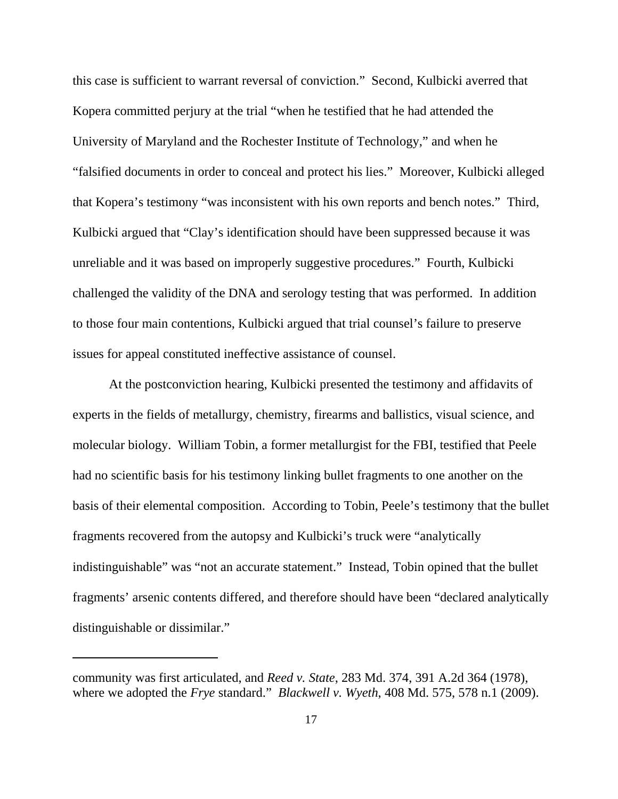this case is sufficient to warrant reversal of conviction." Second, Kulbicki averred that Kopera committed perjury at the trial "when he testified that he had attended the University of Maryland and the Rochester Institute of Technology," and when he "falsified documents in order to conceal and protect his lies." Moreover, Kulbicki alleged that Kopera's testimony "was inconsistent with his own reports and bench notes." Third, Kulbicki argued that "Clay's identification should have been suppressed because it was unreliable and it was based on improperly suggestive procedures." Fourth, Kulbicki challenged the validity of the DNA and serology testing that was performed. In addition to those four main contentions, Kulbicki argued that trial counsel's failure to preserve issues for appeal constituted ineffective assistance of counsel.

At the postconviction hearing, Kulbicki presented the testimony and affidavits of experts in the fields of metallurgy, chemistry, firearms and ballistics, visual science, and molecular biology. William Tobin, a former metallurgist for the FBI, testified that Peele had no scientific basis for his testimony linking bullet fragments to one another on the basis of their elemental composition. According to Tobin, Peele's testimony that the bullet fragments recovered from the autopsy and Kulbicki's truck were "analytically indistinguishable" was "not an accurate statement." Instead, Tobin opined that the bullet fragments' arsenic contents differed, and therefore should have been "declared analytically distinguishable or dissimilar."

community was first articulated, and *Reed v. State*, 283 Md. 374, 391 A.2d 364 (1978), where we adopted the *Frye* standard." *Blackwell v. Wyeth*, 408 Md. 575, 578 n.1 (2009).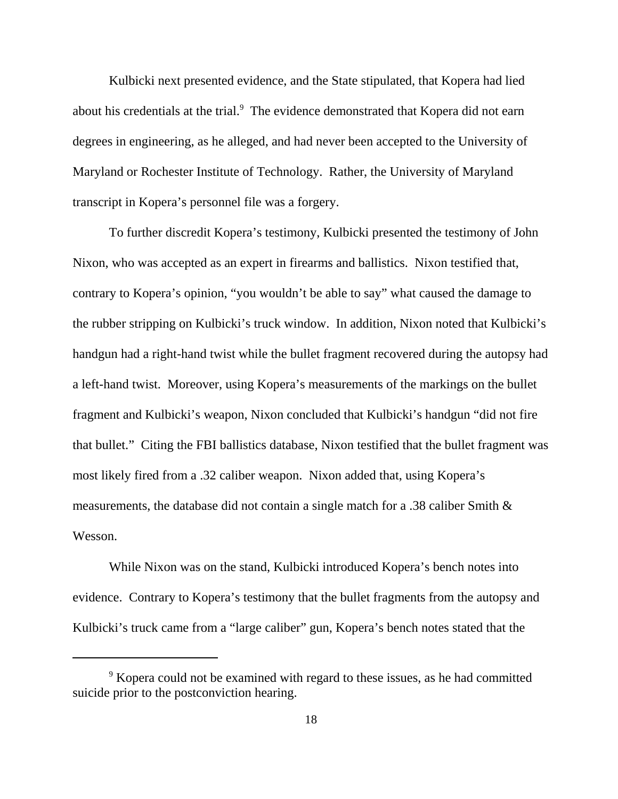Kulbicki next presented evidence, and the State stipulated, that Kopera had lied about his credentials at the trial.<sup>9</sup> The evidence demonstrated that Kopera did not earn degrees in engineering, as he alleged, and had never been accepted to the University of Maryland or Rochester Institute of Technology. Rather, the University of Maryland transcript in Kopera's personnel file was a forgery.

To further discredit Kopera's testimony, Kulbicki presented the testimony of John Nixon, who was accepted as an expert in firearms and ballistics. Nixon testified that, contrary to Kopera's opinion, "you wouldn't be able to say" what caused the damage to the rubber stripping on Kulbicki's truck window. In addition, Nixon noted that Kulbicki's handgun had a right-hand twist while the bullet fragment recovered during the autopsy had a left-hand twist. Moreover, using Kopera's measurements of the markings on the bullet fragment and Kulbicki's weapon, Nixon concluded that Kulbicki's handgun "did not fire that bullet." Citing the FBI ballistics database, Nixon testified that the bullet fragment was most likely fired from a .32 caliber weapon. Nixon added that, using Kopera's measurements, the database did not contain a single match for a .38 caliber Smith & Wesson.

While Nixon was on the stand, Kulbicki introduced Kopera's bench notes into evidence. Contrary to Kopera's testimony that the bullet fragments from the autopsy and Kulbicki's truck came from a "large caliber" gun, Kopera's bench notes stated that the

<sup>&</sup>lt;sup>9</sup> Kopera could not be examined with regard to these issues, as he had committed suicide prior to the postconviction hearing.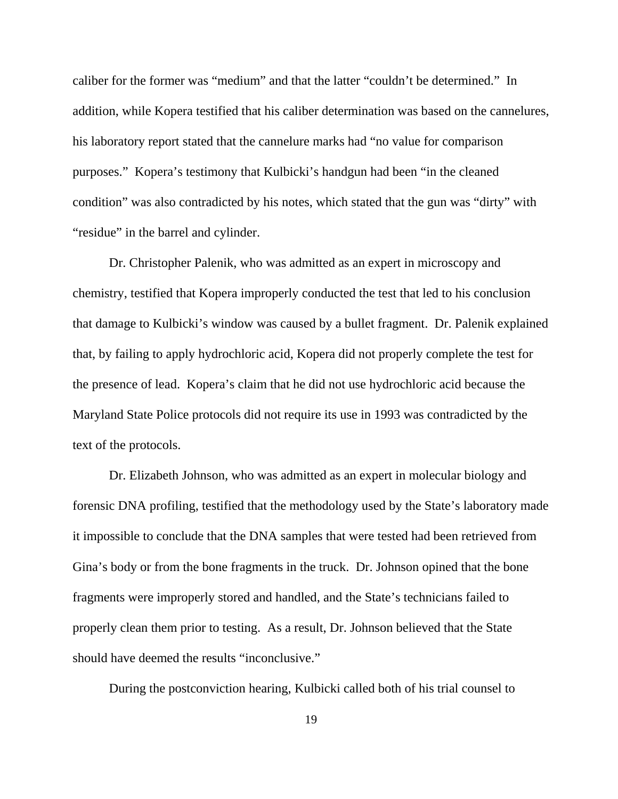caliber for the former was "medium" and that the latter "couldn't be determined." In addition, while Kopera testified that his caliber determination was based on the cannelures, his laboratory report stated that the cannelure marks had "no value for comparison purposes." Kopera's testimony that Kulbicki's handgun had been "in the cleaned condition" was also contradicted by his notes, which stated that the gun was "dirty" with "residue" in the barrel and cylinder.

Dr. Christopher Palenik, who was admitted as an expert in microscopy and chemistry, testified that Kopera improperly conducted the test that led to his conclusion that damage to Kulbicki's window was caused by a bullet fragment. Dr. Palenik explained that, by failing to apply hydrochloric acid, Kopera did not properly complete the test for the presence of lead. Kopera's claim that he did not use hydrochloric acid because the Maryland State Police protocols did not require its use in 1993 was contradicted by the text of the protocols.

Dr. Elizabeth Johnson, who was admitted as an expert in molecular biology and forensic DNA profiling, testified that the methodology used by the State's laboratory made it impossible to conclude that the DNA samples that were tested had been retrieved from Gina's body or from the bone fragments in the truck. Dr. Johnson opined that the bone fragments were improperly stored and handled, and the State's technicians failed to properly clean them prior to testing. As a result, Dr. Johnson believed that the State should have deemed the results "inconclusive."

During the postconviction hearing, Kulbicki called both of his trial counsel to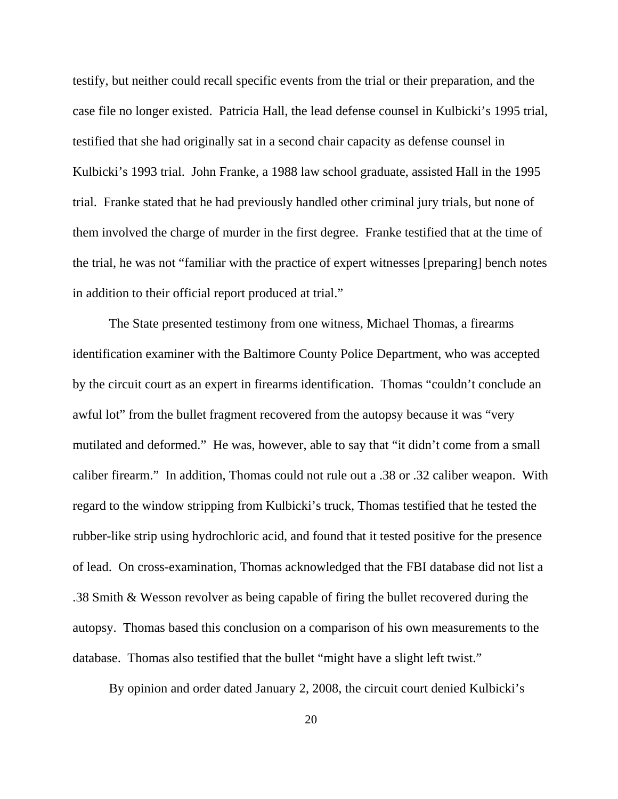testify, but neither could recall specific events from the trial or their preparation, and the case file no longer existed. Patricia Hall, the lead defense counsel in Kulbicki's 1995 trial, testified that she had originally sat in a second chair capacity as defense counsel in Kulbicki's 1993 trial. John Franke, a 1988 law school graduate, assisted Hall in the 1995 trial. Franke stated that he had previously handled other criminal jury trials, but none of them involved the charge of murder in the first degree. Franke testified that at the time of the trial, he was not "familiar with the practice of expert witnesses [preparing] bench notes in addition to their official report produced at trial."

The State presented testimony from one witness, Michael Thomas, a firearms identification examiner with the Baltimore County Police Department, who was accepted by the circuit court as an expert in firearms identification. Thomas "couldn't conclude an awful lot" from the bullet fragment recovered from the autopsy because it was "very mutilated and deformed." He was, however, able to say that "it didn't come from a small caliber firearm." In addition, Thomas could not rule out a .38 or .32 caliber weapon. With regard to the window stripping from Kulbicki's truck, Thomas testified that he tested the rubber-like strip using hydrochloric acid, and found that it tested positive for the presence of lead. On cross-examination, Thomas acknowledged that the FBI database did not list a .38 Smith & Wesson revolver as being capable of firing the bullet recovered during the autopsy. Thomas based this conclusion on a comparison of his own measurements to the database. Thomas also testified that the bullet "might have a slight left twist."

By opinion and order dated January 2, 2008, the circuit court denied Kulbicki's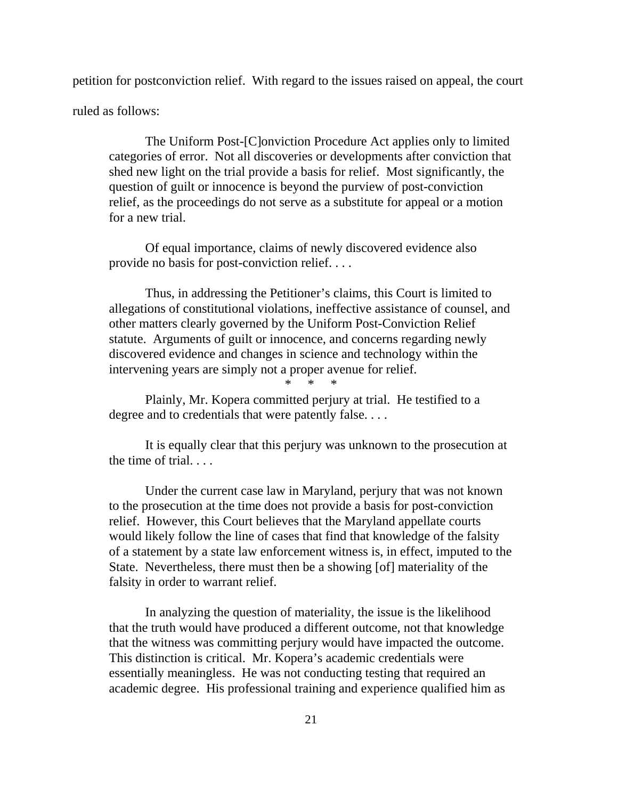petition for postconviction relief. With regard to the issues raised on appeal, the court

ruled as follows:

The Uniform Post-[C]onviction Procedure Act applies only to limited categories of error. Not all discoveries or developments after conviction that shed new light on the trial provide a basis for relief. Most significantly, the question of guilt or innocence is beyond the purview of post-conviction relief, as the proceedings do not serve as a substitute for appeal or a motion for a new trial.

Of equal importance, claims of newly discovered evidence also provide no basis for post-conviction relief. . . .

Thus, in addressing the Petitioner's claims, this Court is limited to allegations of constitutional violations, ineffective assistance of counsel, and other matters clearly governed by the Uniform Post-Conviction Relief statute. Arguments of guilt or innocence, and concerns regarding newly discovered evidence and changes in science and technology within the intervening years are simply not a proper avenue for relief.

\* \* \*

Plainly, Mr. Kopera committed perjury at trial. He testified to a degree and to credentials that were patently false. . . .

It is equally clear that this perjury was unknown to the prosecution at the time of trial. . . .

Under the current case law in Maryland, perjury that was not known to the prosecution at the time does not provide a basis for post-conviction relief. However, this Court believes that the Maryland appellate courts would likely follow the line of cases that find that knowledge of the falsity of a statement by a state law enforcement witness is, in effect, imputed to the State. Nevertheless, there must then be a showing [of] materiality of the falsity in order to warrant relief.

In analyzing the question of materiality, the issue is the likelihood that the truth would have produced a different outcome, not that knowledge that the witness was committing perjury would have impacted the outcome. This distinction is critical. Mr. Kopera's academic credentials were essentially meaningless. He was not conducting testing that required an academic degree. His professional training and experience qualified him as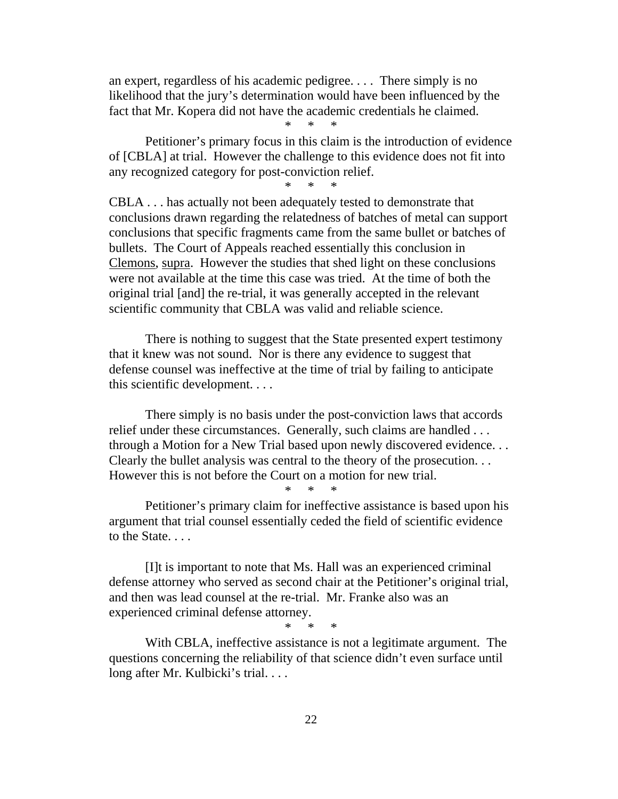an expert, regardless of his academic pedigree. . . . There simply is no likelihood that the jury's determination would have been influenced by the fact that Mr. Kopera did not have the academic credentials he claimed.

\* \* \*

Petitioner's primary focus in this claim is the introduction of evidence of [CBLA] at trial. However the challenge to this evidence does not fit into any recognized category for post-conviction relief.

\* \* \*

CBLA . . . has actually not been adequately tested to demonstrate that conclusions drawn regarding the relatedness of batches of metal can support conclusions that specific fragments came from the same bullet or batches of bullets. The Court of Appeals reached essentially this conclusion in Clemons, supra. However the studies that shed light on these conclusions were not available at the time this case was tried. At the time of both the original trial [and] the re-trial, it was generally accepted in the relevant scientific community that CBLA was valid and reliable science.

There is nothing to suggest that the State presented expert testimony that it knew was not sound. Nor is there any evidence to suggest that defense counsel was ineffective at the time of trial by failing to anticipate this scientific development. . . .

There simply is no basis under the post-conviction laws that accords relief under these circumstances. Generally, such claims are handled . . . through a Motion for a New Trial based upon newly discovered evidence. . . Clearly the bullet analysis was central to the theory of the prosecution. . . However this is not before the Court on a motion for new trial.

\* \* \*

Petitioner's primary claim for ineffective assistance is based upon his argument that trial counsel essentially ceded the field of scientific evidence to the State. . . .

[I]t is important to note that Ms. Hall was an experienced criminal defense attorney who served as second chair at the Petitioner's original trial, and then was lead counsel at the re-trial. Mr. Franke also was an experienced criminal defense attorney.

\* \* \*

With CBLA, ineffective assistance is not a legitimate argument. The questions concerning the reliability of that science didn't even surface until long after Mr. Kulbicki's trial....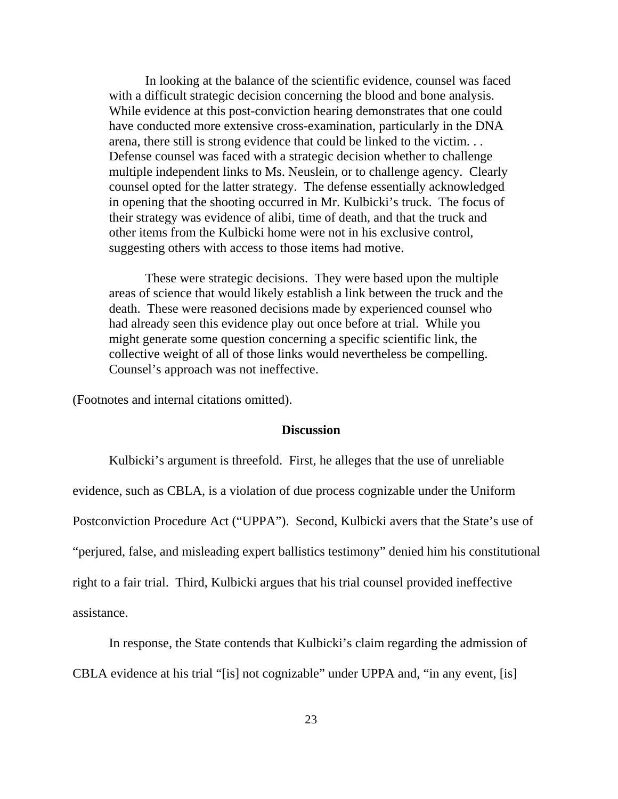In looking at the balance of the scientific evidence, counsel was faced with a difficult strategic decision concerning the blood and bone analysis. While evidence at this post-conviction hearing demonstrates that one could have conducted more extensive cross-examination, particularly in the DNA arena, there still is strong evidence that could be linked to the victim. . . Defense counsel was faced with a strategic decision whether to challenge multiple independent links to Ms. Neuslein, or to challenge agency. Clearly counsel opted for the latter strategy. The defense essentially acknowledged in opening that the shooting occurred in Mr. Kulbicki's truck. The focus of their strategy was evidence of alibi, time of death, and that the truck and other items from the Kulbicki home were not in his exclusive control, suggesting others with access to those items had motive.

These were strategic decisions. They were based upon the multiple areas of science that would likely establish a link between the truck and the death. These were reasoned decisions made by experienced counsel who had already seen this evidence play out once before at trial. While you might generate some question concerning a specific scientific link, the collective weight of all of those links would nevertheless be compelling. Counsel's approach was not ineffective.

(Footnotes and internal citations omitted).

#### **Discussion**

Kulbicki's argument is threefold. First, he alleges that the use of unreliable evidence, such as CBLA, is a violation of due process cognizable under the Uniform Postconviction Procedure Act ("UPPA"). Second, Kulbicki avers that the State's use of "perjured, false, and misleading expert ballistics testimony" denied him his constitutional right to a fair trial. Third, Kulbicki argues that his trial counsel provided ineffective assistance.

In response, the State contends that Kulbicki's claim regarding the admission of

CBLA evidence at his trial "[is] not cognizable" under UPPA and, "in any event, [is]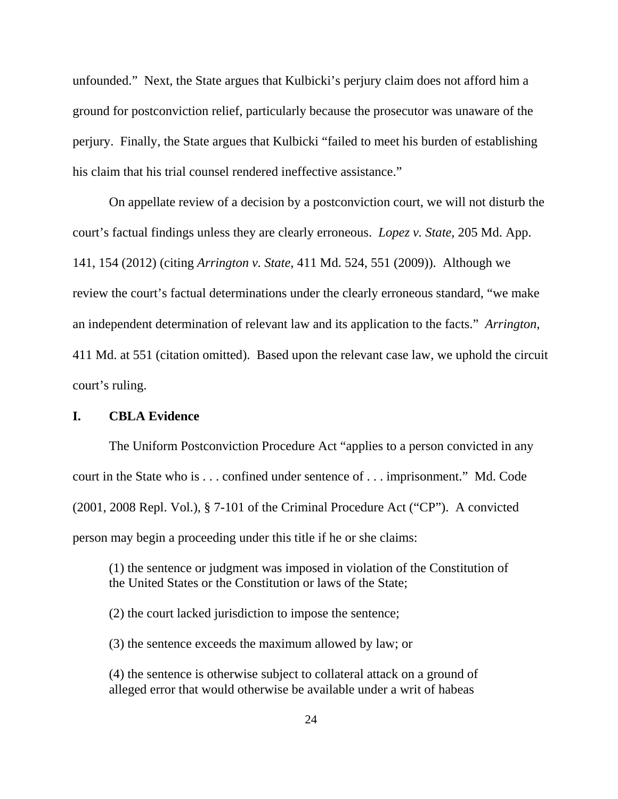unfounded." Next, the State argues that Kulbicki's perjury claim does not afford him a ground for postconviction relief, particularly because the prosecutor was unaware of the perjury. Finally, the State argues that Kulbicki "failed to meet his burden of establishing his claim that his trial counsel rendered ineffective assistance."

On appellate review of a decision by a postconviction court, we will not disturb the court's factual findings unless they are clearly erroneous. *Lopez v. State*, 205 Md. App. 141, 154 (2012) (citing *Arrington v. State*, 411 Md. 524, 551 (2009)). Although we review the court's factual determinations under the clearly erroneous standard, "we make an independent determination of relevant law and its application to the facts."*Arrington*, 411 Md. at 551 (citation omitted). Based upon the relevant case law, we uphold the circuit court's ruling.

## **I. CBLA Evidence**

The Uniform Postconviction Procedure Act "applies to a person convicted in any court in the State who is . . . confined under sentence of . . . imprisonment." Md. Code (2001, 2008 Repl. Vol.), § 7-101 of the Criminal Procedure Act ("CP"). A convicted person may begin a proceeding under this title if he or she claims:

(1) the sentence or judgment was imposed in violation of the Constitution of the United States or the Constitution or laws of the State;

(2) the court lacked jurisdiction to impose the sentence;

(3) the sentence exceeds the maximum allowed by law; or

(4) the sentence is otherwise subject to collateral attack on a ground of alleged error that would otherwise be available under a writ of habeas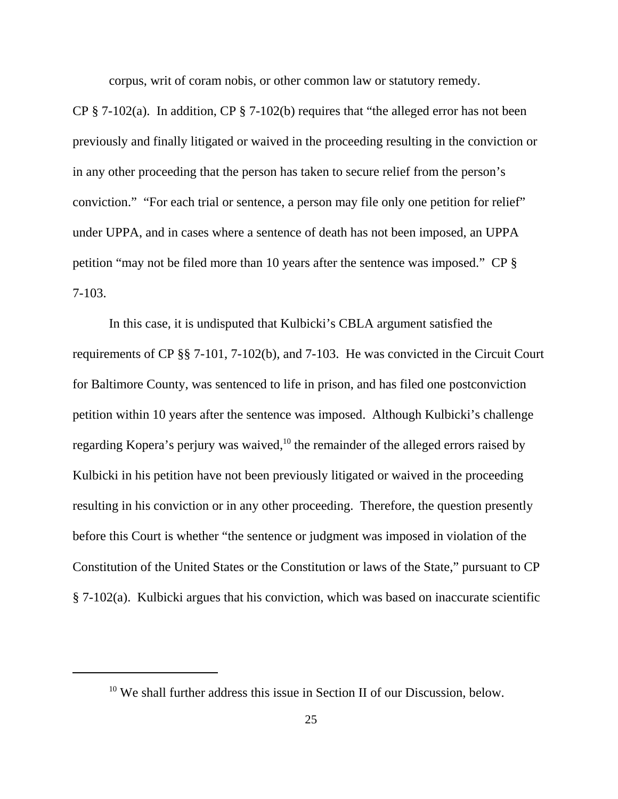corpus, writ of coram nobis, or other common law or statutory remedy.

CP  $\S$  7-102(a). In addition, CP  $\S$  7-102(b) requires that "the alleged error has not been previously and finally litigated or waived in the proceeding resulting in the conviction or in any other proceeding that the person has taken to secure relief from the person's conviction." "For each trial or sentence, a person may file only one petition for relief" under UPPA, and in cases where a sentence of death has not been imposed, an UPPA petition "may not be filed more than 10 years after the sentence was imposed." CP § 7-103.

In this case, it is undisputed that Kulbicki's CBLA argument satisfied the requirements of CP §§ 7-101, 7-102(b), and 7-103. He was convicted in the Circuit Court for Baltimore County, was sentenced to life in prison, and has filed one postconviction petition within 10 years after the sentence was imposed. Although Kulbicki's challenge regarding Kopera's perjury was waived, $10$  the remainder of the alleged errors raised by Kulbicki in his petition have not been previously litigated or waived in the proceeding resulting in his conviction or in any other proceeding. Therefore, the question presently before this Court is whether "the sentence or judgment was imposed in violation of the Constitution of the United States or the Constitution or laws of the State," pursuant to CP § 7-102(a). Kulbicki argues that his conviction, which was based on inaccurate scientific

<sup>&</sup>lt;sup>10</sup> We shall further address this issue in Section II of our Discussion, below.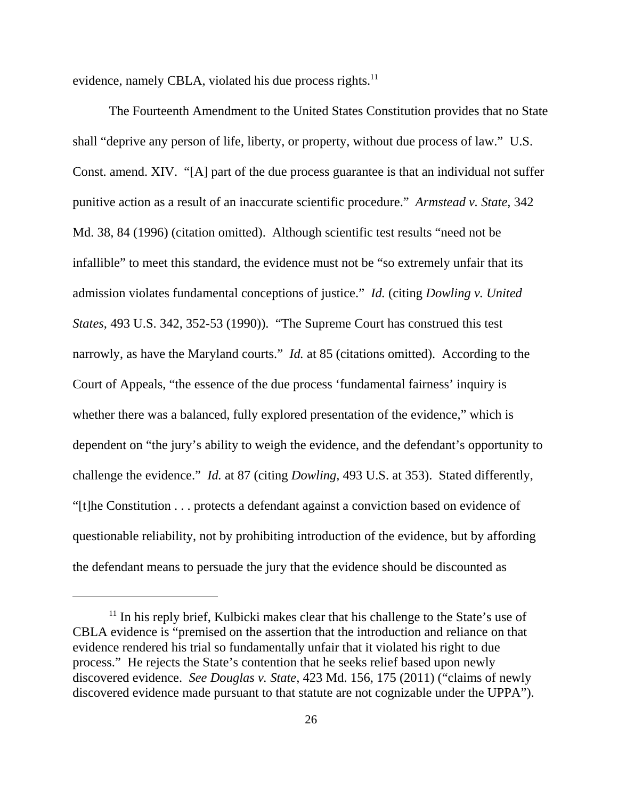evidence, namely CBLA, violated his due process rights.<sup>11</sup>

The Fourteenth Amendment to the United States Constitution provides that no State shall "deprive any person of life, liberty, or property, without due process of law." U.S. Const. amend. XIV. "[A] part of the due process guarantee is that an individual not suffer punitive action as a result of an inaccurate scientific procedure." *Armstead v. State*, 342 Md. 38, 84 (1996) (citation omitted). Although scientific test results "need not be infallible" to meet this standard, the evidence must not be "so extremely unfair that its admission violates fundamental conceptions of justice." *Id.* (citing *Dowling v. United States*, 493 U.S. 342, 352-53 (1990)). "The Supreme Court has construed this test narrowly, as have the Maryland courts." *Id.* at 85 (citations omitted). According to the Court of Appeals, "the essence of the due process 'fundamental fairness' inquiry is whether there was a balanced, fully explored presentation of the evidence," which is dependent on "the jury's ability to weigh the evidence, and the defendant's opportunity to challenge the evidence." *Id.* at 87 (citing *Dowling*, 493 U.S. at 353). Stated differently, "[t]he Constitution . . . protects a defendant against a conviction based on evidence of questionable reliability, not by prohibiting introduction of the evidence, but by affording the defendant means to persuade the jury that the evidence should be discounted as

 $<sup>11</sup>$  In his reply brief, Kulbicki makes clear that his challenge to the State's use of</sup> CBLA evidence is "premised on the assertion that the introduction and reliance on that evidence rendered his trial so fundamentally unfair that it violated his right to due process." He rejects the State's contention that he seeks relief based upon newly discovered evidence. *See Douglas v. State*, 423 Md. 156, 175 (2011) ("claims of newly discovered evidence made pursuant to that statute are not cognizable under the UPPA").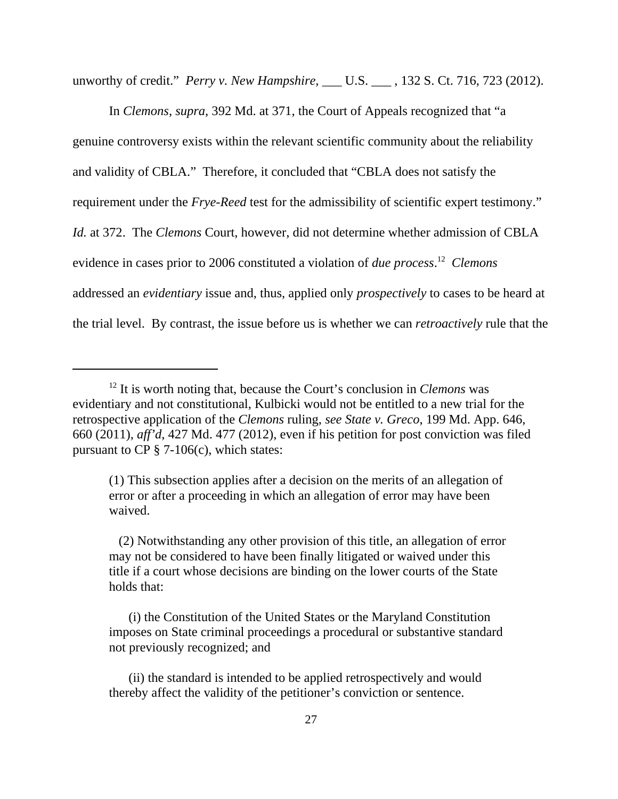unworthy of credit." *Perry v. New Hampshire*, \_\_\_ U.S. \_\_\_ , 132 S. Ct. 716, 723 (2012).

In *Clemons*, *supra*, 392 Md. at 371, the Court of Appeals recognized that "a genuine controversy exists within the relevant scientific community about the reliability and validity of CBLA." Therefore, it concluded that "CBLA does not satisfy the requirement under the *Frye-Reed* test for the admissibility of scientific expert testimony." *Id.* at 372. The *Clemons* Court, however, did not determine whether admission of CBLA evidence in cases prior to 2006 constituted a violation of *due process*. 12 *Clemons* addressed an *evidentiary* issue and, thus, applied only *prospectively* to cases to be heard at the trial level. By contrast, the issue before us is whether we can *retroactively* rule that the

<sup>12</sup> It is worth noting that, because the Court's conclusion in *Clemons* was evidentiary and not constitutional, Kulbicki would not be entitled to a new trial for the retrospective application of the *Clemons* ruling, *see State v. Greco*, 199 Md. App. 646, 660 (2011), *aff'd*, 427 Md. 477 (2012), even if his petition for post conviction was filed pursuant to  $CP \S 7-106(c)$ , which states:

<sup>(1)</sup> This subsection applies after a decision on the merits of an allegation of error or after a proceeding in which an allegation of error may have been waived.

 <sup>(2)</sup> Notwithstanding any other provision of this title, an allegation of error may not be considered to have been finally litigated or waived under this title if a court whose decisions are binding on the lower courts of the State holds that:

 <sup>(</sup>i) the Constitution of the United States or the Maryland Constitution imposes on State criminal proceedings a procedural or substantive standard not previously recognized; and

 <sup>(</sup>ii) the standard is intended to be applied retrospectively and would thereby affect the validity of the petitioner's conviction or sentence.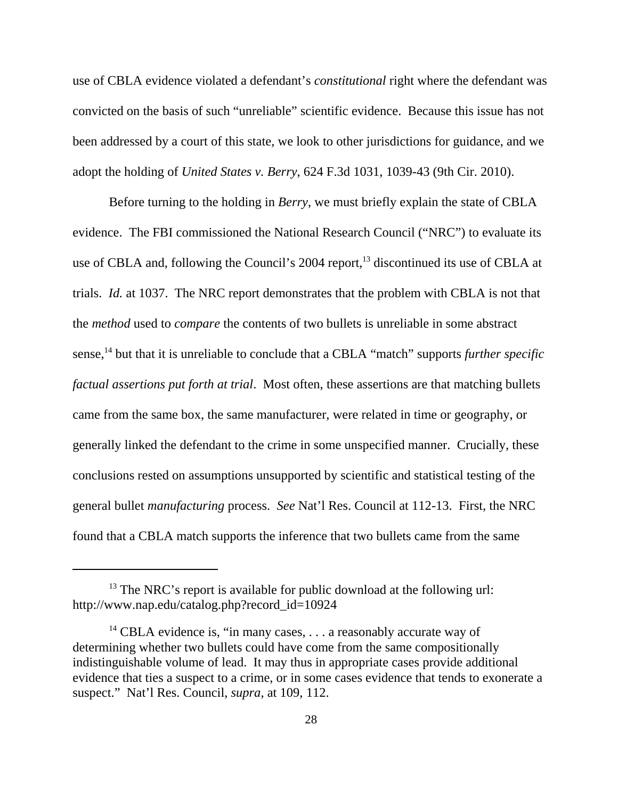use of CBLA evidence violated a defendant's *constitutional* right where the defendant was convicted on the basis of such "unreliable" scientific evidence. Because this issue has not been addressed by a court of this state, we look to other jurisdictions for guidance, and we adopt the holding of *United States v. Berry*, 624 F.3d 1031, 1039-43 (9th Cir. 2010).

Before turning to the holding in *Berry*, we must briefly explain the state of CBLA evidence. The FBI commissioned the National Research Council ("NRC") to evaluate its use of CBLA and, following the Council's 2004 report,<sup>13</sup> discontinued its use of CBLA at trials. *Id.* at 1037. The NRC report demonstrates that the problem with CBLA is not that the *method* used to *compare* the contents of two bullets is unreliable in some abstract sense,<sup>14</sup> but that it is unreliable to conclude that a CBLA "match" supports *further specific factual assertions put forth at trial*. Most often, these assertions are that matching bullets came from the same box, the same manufacturer, were related in time or geography, or generally linked the defendant to the crime in some unspecified manner. Crucially, these conclusions rested on assumptions unsupported by scientific and statistical testing of the general bullet *manufacturing* process. *See* Nat'l Res. Council at 112-13. First, the NRC found that a CBLA match supports the inference that two bullets came from the same

 $13$  The NRC's report is available for public download at the following url: http://www.nap.edu/catalog.php?record\_id=10924

<sup>&</sup>lt;sup>14</sup> CBLA evidence is, "in many cases,  $\dots$  a reasonably accurate way of determining whether two bullets could have come from the same compositionally indistinguishable volume of lead. It may thus in appropriate cases provide additional evidence that ties a suspect to a crime, or in some cases evidence that tends to exonerate a suspect." Nat'l Res. Council, *supra*, at 109, 112.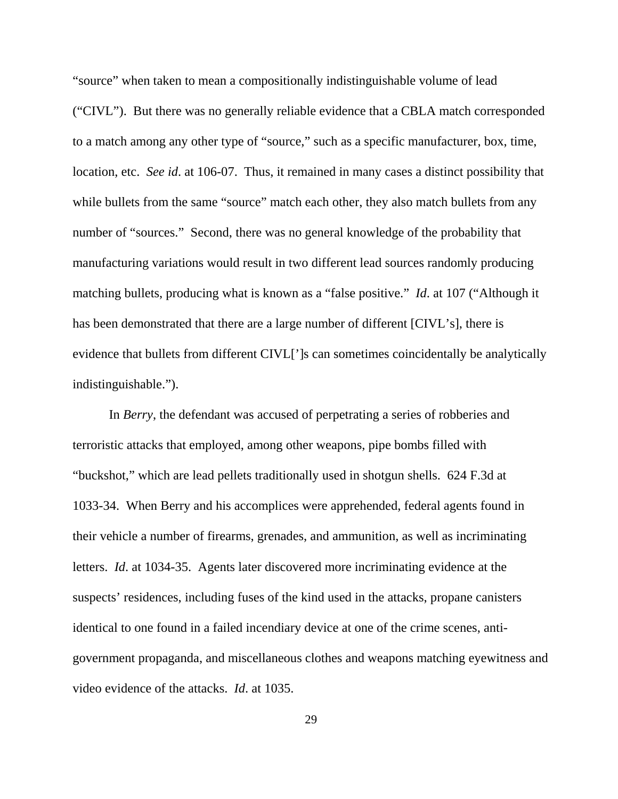"source" when taken to mean a compositionally indistinguishable volume of lead ("CIVL"). But there was no generally reliable evidence that a CBLA match corresponded to a match among any other type of "source," such as a specific manufacturer, box, time, location, etc. *See id*. at 106-07. Thus, it remained in many cases a distinct possibility that while bullets from the same "source" match each other, they also match bullets from any number of "sources." Second, there was no general knowledge of the probability that manufacturing variations would result in two different lead sources randomly producing matching bullets, producing what is known as a "false positive." *Id*. at 107 ("Although it has been demonstrated that there are a large number of different [CIVL's], there is evidence that bullets from different CIVL[']s can sometimes coincidentally be analytically indistinguishable.").

In *Berry*, the defendant was accused of perpetrating a series of robberies and terroristic attacks that employed, among other weapons, pipe bombs filled with "buckshot," which are lead pellets traditionally used in shotgun shells. 624 F.3d at 1033-34. When Berry and his accomplices were apprehended, federal agents found in their vehicle a number of firearms, grenades, and ammunition, as well as incriminating letters. *Id*. at 1034-35. Agents later discovered more incriminating evidence at the suspects' residences, including fuses of the kind used in the attacks, propane canisters identical to one found in a failed incendiary device at one of the crime scenes, antigovernment propaganda, and miscellaneous clothes and weapons matching eyewitness and video evidence of the attacks. *Id*. at 1035.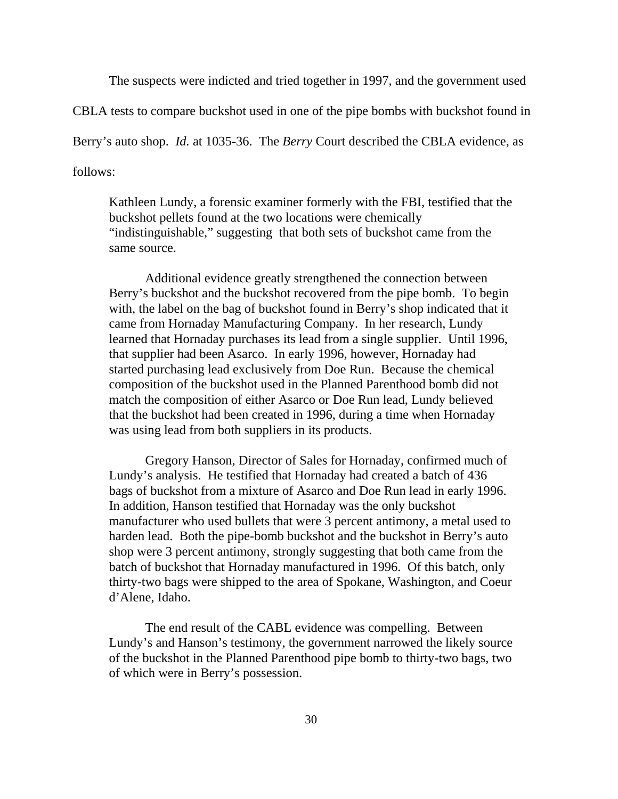The suspects were indicted and tried together in 1997, and the government used

CBLA tests to compare buckshot used in one of the pipe bombs with buckshot found in

Berry's auto shop. *Id.* at 1035-36. The *Berry* Court described the CBLA evidence, as

follows:

Kathleen Lundy, a forensic examiner formerly with the FBI, testified that the buckshot pellets found at the two locations were chemically "indistinguishable," suggesting that both sets of buckshot came from the same source.

Additional evidence greatly strengthened the connection between Berry's buckshot and the buckshot recovered from the pipe bomb. To begin with, the label on the bag of buckshot found in Berry's shop indicated that it came from Hornaday Manufacturing Company. In her research, Lundy learned that Hornaday purchases its lead from a single supplier. Until 1996, that supplier had been Asarco. In early 1996, however, Hornaday had started purchasing lead exclusively from Doe Run. Because the chemical composition of the buckshot used in the Planned Parenthood bomb did not match the composition of either Asarco or Doe Run lead, Lundy believed that the buckshot had been created in 1996, during a time when Hornaday was using lead from both suppliers in its products.

Gregory Hanson, Director of Sales for Hornaday, confirmed much of Lundy's analysis. He testified that Hornaday had created a batch of 436 bags of buckshot from a mixture of Asarco and Doe Run lead in early 1996. In addition, Hanson testified that Hornaday was the only buckshot manufacturer who used bullets that were 3 percent antimony, a metal used to harden lead. Both the pipe-bomb buckshot and the buckshot in Berry's auto shop were 3 percent antimony, strongly suggesting that both came from the batch of buckshot that Hornaday manufactured in 1996. Of this batch, only thirty-two bags were shipped to the area of Spokane, Washington, and Coeur d'Alene, Idaho.

The end result of the CABL evidence was compelling. Between Lundy's and Hanson's testimony, the government narrowed the likely source of the buckshot in the Planned Parenthood pipe bomb to thirty-two bags, two of which were in Berry's possession.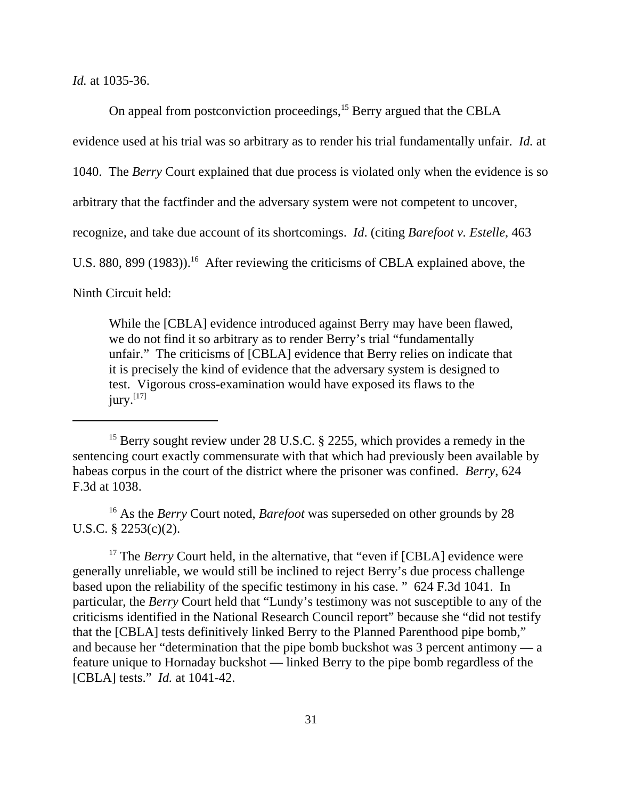*Id.* at 1035-36.

On appeal from postconviction proceedings,<sup>15</sup> Berry argued that the CBLA

evidence used at his trial was so arbitrary as to render his trial fundamentally unfair. *Id.* at

1040. The *Berry* Court explained that due process is violated only when the evidence is so

arbitrary that the factfinder and the adversary system were not competent to uncover,

recognize, and take due account of its shortcomings. *Id*. (citing *Barefoot v. Estelle*, 463

U.S. 880, 899 (1983)).<sup>16</sup> After reviewing the criticisms of CBLA explained above, the

Ninth Circuit held:

While the [CBLA] evidence introduced against Berry may have been flawed, we do not find it so arbitrary as to render Berry's trial "fundamentally unfair." The criticisms of [CBLA] evidence that Berry relies on indicate that it is precisely the kind of evidence that the adversary system is designed to test. Vigorous cross-examination would have exposed its flaws to the  $jury.<sup>[17]</sup>$ 

16 As the *Berry* Court noted, *Barefoot* was superseded on other grounds by 28 U.S.C. § 2253(c)(2).

<sup>17</sup> The *Berry* Court held, in the alternative, that "even if [CBLA] evidence were generally unreliable, we would still be inclined to reject Berry's due process challenge based upon the reliability of the specific testimony in his case. " 624 F.3d 1041. In particular, the *Berry* Court held that "Lundy's testimony was not susceptible to any of the criticisms identified in the National Research Council report" because she "did not testify that the [CBLA] tests definitively linked Berry to the Planned Parenthood pipe bomb," and because her "determination that the pipe bomb buckshot was 3 percent antimony — a feature unique to Hornaday buckshot — linked Berry to the pipe bomb regardless of the [CBLA] tests." *Id.* at 1041-42.

<sup>&</sup>lt;sup>15</sup> Berry sought review under 28 U.S.C. § 2255, which provides a remedy in the sentencing court exactly commensurate with that which had previously been available by habeas corpus in the court of the district where the prisoner was confined. *Berry*, 624 F.3d at 1038.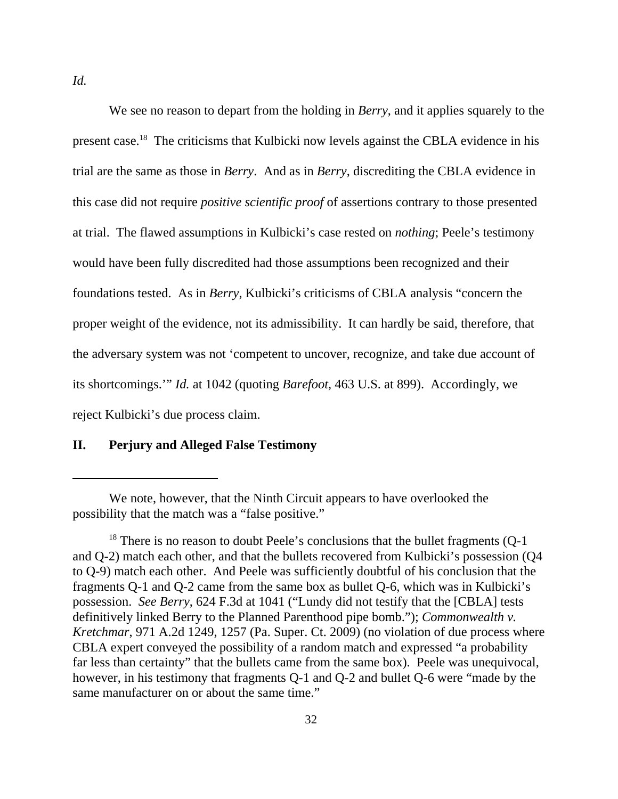We see no reason to depart from the holding in *Berry*, and it applies squarely to the present case.18 The criticisms that Kulbicki now levels against the CBLA evidence in his trial are the same as those in *Berry*. And as in *Berry*, discrediting the CBLA evidence in this case did not require *positive scientific proof* of assertions contrary to those presented at trial. The flawed assumptions in Kulbicki's case rested on *nothing*; Peele's testimony would have been fully discredited had those assumptions been recognized and their foundations tested. As in *Berry*, Kulbicki's criticisms of CBLA analysis "concern the proper weight of the evidence, not its admissibility. It can hardly be said, therefore, that the adversary system was not 'competent to uncover, recognize, and take due account of its shortcomings.'" *Id.* at 1042 (quoting *Barefoot*, 463 U.S. at 899). Accordingly, we reject Kulbicki's due process claim.

#### **II. Perjury and Alleged False Testimony**

We note, however, that the Ninth Circuit appears to have overlooked the possibility that the match was a "false positive."

 $18$ <sup>18</sup> There is no reason to doubt Peele's conclusions that the bullet fragments (Q-1) and Q-2) match each other, and that the bullets recovered from Kulbicki's possession (Q4 to Q-9) match each other. And Peele was sufficiently doubtful of his conclusion that the fragments Q-1 and Q-2 came from the same box as bullet Q-6, which was in Kulbicki's possession. *See Berry*, 624 F.3d at 1041 ("Lundy did not testify that the [CBLA] tests definitively linked Berry to the Planned Parenthood pipe bomb."); *Commonwealth v. Kretchmar*, 971 A.2d 1249, 1257 (Pa. Super. Ct. 2009) (no violation of due process where CBLA expert conveyed the possibility of a random match and expressed "a probability far less than certainty" that the bullets came from the same box). Peele was unequivocal, however, in his testimony that fragments Q-1 and Q-2 and bullet Q-6 were "made by the same manufacturer on or about the same time."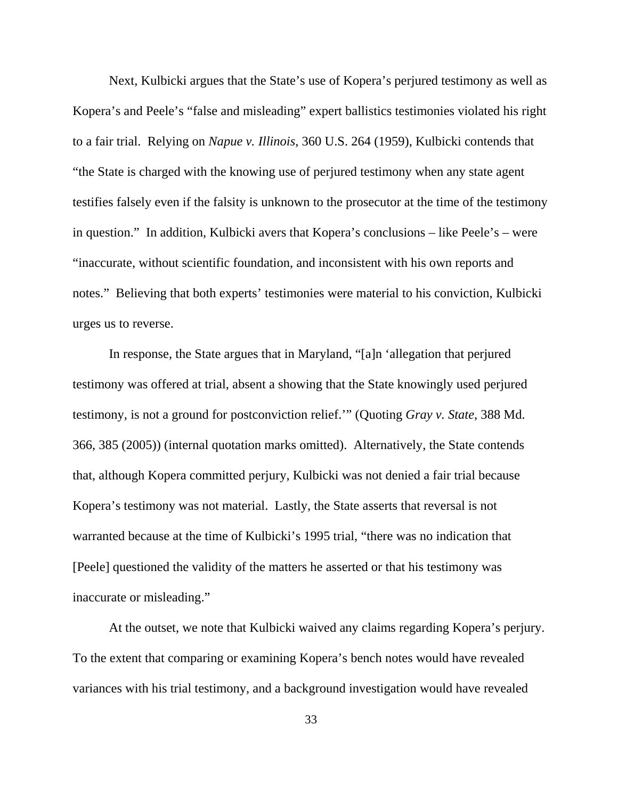Next, Kulbicki argues that the State's use of Kopera's perjured testimony as well as Kopera's and Peele's "false and misleading" expert ballistics testimonies violated his right to a fair trial. Relying on *Napue v. Illinois*, 360 U.S. 264 (1959), Kulbicki contends that "the State is charged with the knowing use of perjured testimony when any state agent testifies falsely even if the falsity is unknown to the prosecutor at the time of the testimony in question." In addition, Kulbicki avers that Kopera's conclusions – like Peele's – were "inaccurate, without scientific foundation, and inconsistent with his own reports and notes." Believing that both experts' testimonies were material to his conviction, Kulbicki urges us to reverse.

In response, the State argues that in Maryland, "[a]n 'allegation that perjured testimony was offered at trial, absent a showing that the State knowingly used perjured testimony, is not a ground for postconviction relief.'" (Quoting *Gray v. State*, 388 Md. 366, 385 (2005)) (internal quotation marks omitted). Alternatively, the State contends that, although Kopera committed perjury, Kulbicki was not denied a fair trial because Kopera's testimony was not material. Lastly, the State asserts that reversal is not warranted because at the time of Kulbicki's 1995 trial, "there was no indication that [Peele] questioned the validity of the matters he asserted or that his testimony was inaccurate or misleading."

At the outset, we note that Kulbicki waived any claims regarding Kopera's perjury. To the extent that comparing or examining Kopera's bench notes would have revealed variances with his trial testimony, and a background investigation would have revealed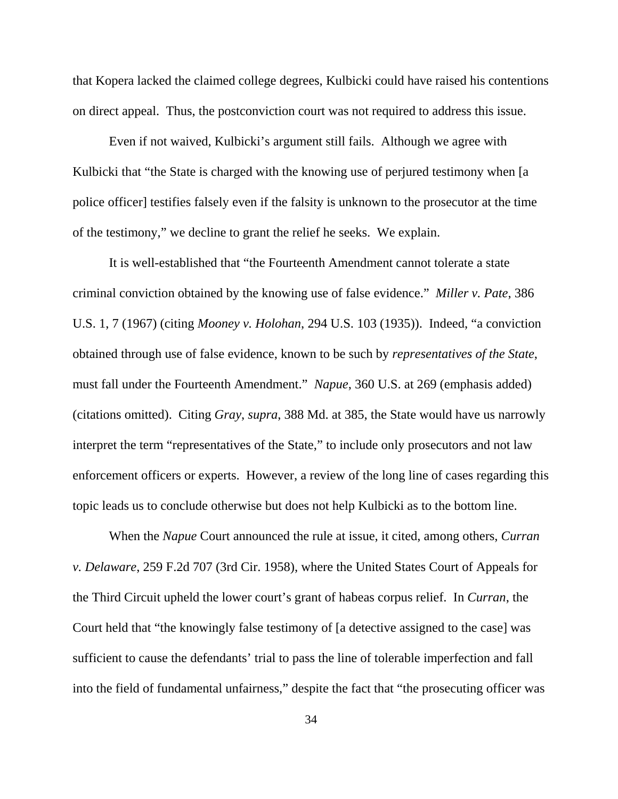that Kopera lacked the claimed college degrees, Kulbicki could have raised his contentions on direct appeal. Thus, the postconviction court was not required to address this issue.

Even if not waived, Kulbicki's argument still fails. Although we agree with Kulbicki that "the State is charged with the knowing use of perjured testimony when [a] police officer] testifies falsely even if the falsity is unknown to the prosecutor at the time of the testimony," we decline to grant the relief he seeks. We explain.

It is well-established that "the Fourteenth Amendment cannot tolerate a state criminal conviction obtained by the knowing use of false evidence." *Miller v. Pate*, 386 U.S. 1, 7 (1967) (citing *Mooney v. Holohan*, 294 U.S. 103 (1935)). Indeed, "a conviction obtained through use of false evidence, known to be such by *representatives of the State*, must fall under the Fourteenth Amendment." *Napue*, 360 U.S. at 269 (emphasis added) (citations omitted). Citing *Gray*, *supra*, 388 Md. at 385, the State would have us narrowly interpret the term "representatives of the State," to include only prosecutors and not law enforcement officers or experts. However, a review of the long line of cases regarding this topic leads us to conclude otherwise but does not help Kulbicki as to the bottom line.

When the *Napue* Court announced the rule at issue, it cited, among others, *Curran v. Delaware*, 259 F.2d 707 (3rd Cir. 1958), where the United States Court of Appeals for the Third Circuit upheld the lower court's grant of habeas corpus relief. In *Curran*, the Court held that "the knowingly false testimony of [a detective assigned to the case] was sufficient to cause the defendants' trial to pass the line of tolerable imperfection and fall into the field of fundamental unfairness," despite the fact that "the prosecuting officer was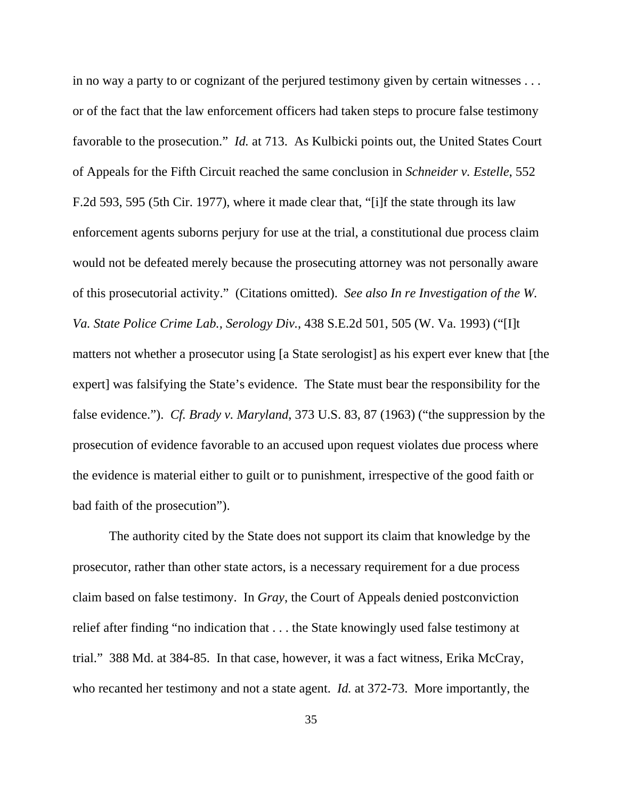in no way a party to or cognizant of the perjured testimony given by certain witnesses . . . or of the fact that the law enforcement officers had taken steps to procure false testimony favorable to the prosecution." *Id.* at 713. As Kulbicki points out, the United States Court of Appeals for the Fifth Circuit reached the same conclusion in *Schneider v. Estelle*, 552 F.2d 593, 595 (5th Cir. 1977), where it made clear that, "[i]f the state through its law enforcement agents suborns perjury for use at the trial, a constitutional due process claim would not be defeated merely because the prosecuting attorney was not personally aware of this prosecutorial activity." (Citations omitted). *See also In re Investigation of the W. Va. State Police Crime Lab., Serology Div.*, 438 S.E.2d 501, 505 (W. Va. 1993) ("[I]t matters not whether a prosecutor using [a State serologist] as his expert ever knew that [the expert] was falsifying the State's evidence. The State must bear the responsibility for the false evidence."). *Cf. Brady v. Maryland*, 373 U.S. 83, 87 (1963) ("the suppression by the prosecution of evidence favorable to an accused upon request violates due process where the evidence is material either to guilt or to punishment, irrespective of the good faith or bad faith of the prosecution").

The authority cited by the State does not support its claim that knowledge by the prosecutor, rather than other state actors, is a necessary requirement for a due process claim based on false testimony. In *Gray*, the Court of Appeals denied postconviction relief after finding "no indication that . . . the State knowingly used false testimony at trial." 388 Md. at 384-85. In that case, however, it was a fact witness, Erika McCray, who recanted her testimony and not a state agent. *Id.* at 372-73. More importantly, the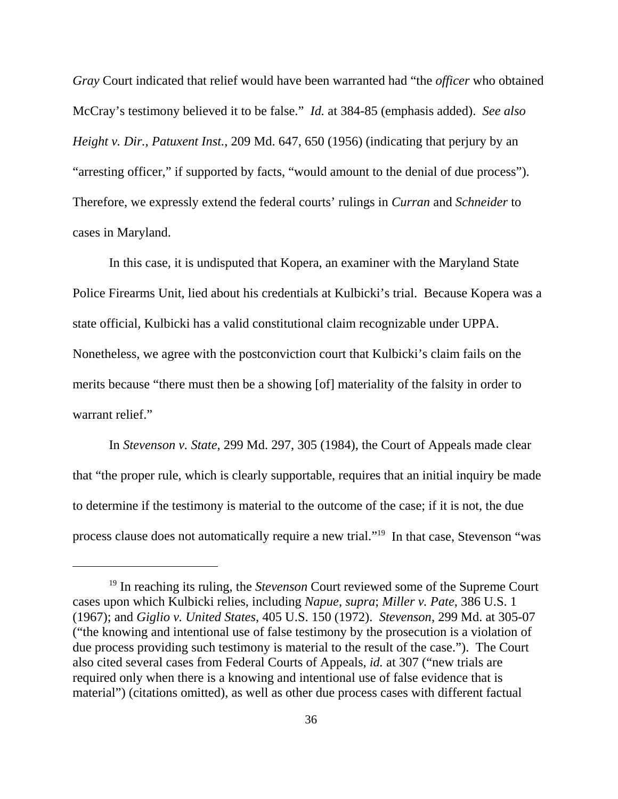*Gray* Court indicated that relief would have been warranted had "the *officer* who obtained McCray's testimony believed it to be false." *Id.* at 384-85 (emphasis added). *See also Height v. Dir., Patuxent Inst.*, 209 Md. 647, 650 (1956) (indicating that perjury by an "arresting officer," if supported by facts, "would amount to the denial of due process"). Therefore, we expressly extend the federal courts' rulings in *Curran* and *Schneider* to cases in Maryland.

In this case, it is undisputed that Kopera, an examiner with the Maryland State Police Firearms Unit, lied about his credentials at Kulbicki's trial. Because Kopera was a state official, Kulbicki has a valid constitutional claim recognizable under UPPA. Nonetheless, we agree with the postconviction court that Kulbicki's claim fails on the merits because "there must then be a showing [of] materiality of the falsity in order to warrant relief."

In *Stevenson v. State*, 299 Md. 297, 305 (1984), the Court of Appeals made clear that "the proper rule, which is clearly supportable, requires that an initial inquiry be made to determine if the testimony is material to the outcome of the case; if it is not, the due process clause does not automatically require a new trial."19 In that case, Stevenson "was

<sup>&</sup>lt;sup>19</sup> In reaching its ruling, the *Stevenson* Court reviewed some of the Supreme Court cases upon which Kulbicki relies, including *Napue*, *supra*; *Miller v. Pate*, 386 U.S. 1 (1967); and *Giglio v. United States*, 405 U.S. 150 (1972). *Stevenson*, 299 Md. at 305-07 ("the knowing and intentional use of false testimony by the prosecution is a violation of due process providing such testimony is material to the result of the case."). The Court also cited several cases from Federal Courts of Appeals, *id.* at 307 ("new trials are required only when there is a knowing and intentional use of false evidence that is material") (citations omitted), as well as other due process cases with different factual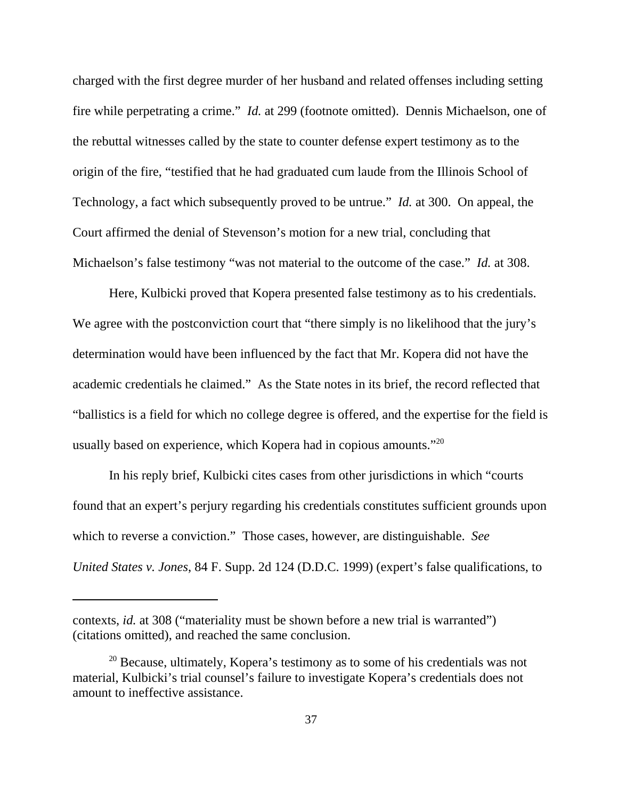charged with the first degree murder of her husband and related offenses including setting fire while perpetrating a crime." *Id.* at 299 (footnote omitted). Dennis Michaelson, one of the rebuttal witnesses called by the state to counter defense expert testimony as to the origin of the fire, "testified that he had graduated cum laude from the Illinois School of Technology, a fact which subsequently proved to be untrue." *Id.* at 300. On appeal, the Court affirmed the denial of Stevenson's motion for a new trial, concluding that Michaelson's false testimony "was not material to the outcome of the case." *Id.* at 308.

Here, Kulbicki proved that Kopera presented false testimony as to his credentials. We agree with the postconviction court that "there simply is no likelihood that the jury's determination would have been influenced by the fact that Mr. Kopera did not have the academic credentials he claimed." As the State notes in its brief, the record reflected that "ballistics is a field for which no college degree is offered, and the expertise for the field is usually based on experience, which Kopera had in copious amounts."<sup>20</sup>

In his reply brief, Kulbicki cites cases from other jurisdictions in which "courts found that an expert's perjury regarding his credentials constitutes sufficient grounds upon which to reverse a conviction." Those cases, however, are distinguishable. *See United States v. Jones*, 84 F. Supp. 2d 124 (D.D.C. 1999) (expert's false qualifications, to

contexts, *id.* at 308 ("materiality must be shown before a new trial is warranted") (citations omitted), and reached the same conclusion.

 $20$  Because, ultimately, Kopera's testimony as to some of his credentials was not material, Kulbicki's trial counsel's failure to investigate Kopera's credentials does not amount to ineffective assistance.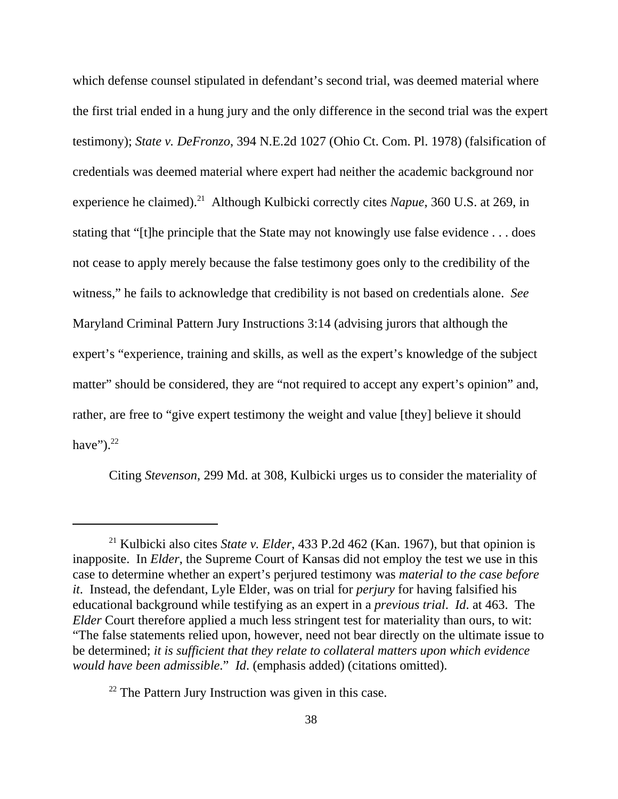which defense counsel stipulated in defendant's second trial, was deemed material where the first trial ended in a hung jury and the only difference in the second trial was the expert testimony); *State v. DeFronzo*, 394 N.E.2d 1027 (Ohio Ct. Com. Pl. 1978) (falsification of credentials was deemed material where expert had neither the academic background nor experience he claimed).<sup>21</sup> Although Kulbicki correctly cites *Napue*, 360 U.S. at 269, in stating that "[t]he principle that the State may not knowingly use false evidence . . . does not cease to apply merely because the false testimony goes only to the credibility of the witness," he fails to acknowledge that credibility is not based on credentials alone. *See* Maryland Criminal Pattern Jury Instructions 3:14 (advising jurors that although the expert's "experience, training and skills, as well as the expert's knowledge of the subject matter" should be considered, they are "not required to accept any expert's opinion" and, rather, are free to "give expert testimony the weight and value [they] believe it should have" $)$ .<sup>22</sup>

Citing *Stevenson*, 299 Md. at 308, Kulbicki urges us to consider the materiality of

<sup>21</sup> Kulbicki also cites *State v. Elder*, 433 P.2d 462 (Kan. 1967), but that opinion is inapposite. In *Elder*, the Supreme Court of Kansas did not employ the test we use in this case to determine whether an expert's perjured testimony was *material to the case before it*. Instead, the defendant, Lyle Elder, was on trial for *perjury* for having falsified his educational background while testifying as an expert in a *previous trial*. *Id*. at 463. The *Elder* Court therefore applied a much less stringent test for materiality than ours, to wit: "The false statements relied upon, however, need not bear directly on the ultimate issue to be determined; *it is sufficient that they relate to collateral matters upon which evidence would have been admissible*." *Id*. (emphasis added) (citations omitted).

 $22$  The Pattern Jury Instruction was given in this case.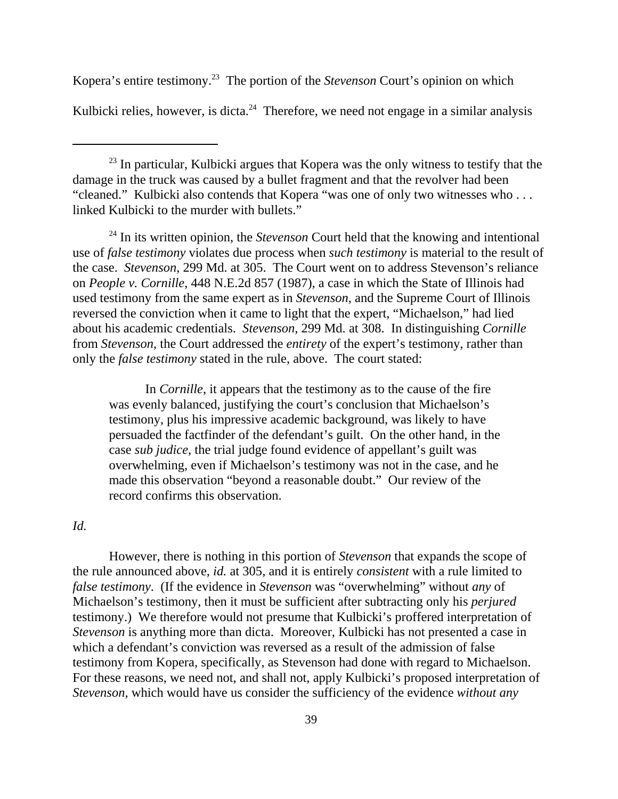Kopera's entire testimony.23 The portion of the *Stevenson* Court's opinion on which Kulbicki relies, however, is dicta.<sup>24</sup> Therefore, we need not engage in a similar analysis

<sup>24</sup> In its written opinion, the *Stevenson* Court held that the knowing and intentional use of *false testimony* violates due process when *such testimony* is material to the result of the case. *Stevenson*, 299 Md. at 305. The Court went on to address Stevenson's reliance on *People v. Cornille*, 448 N.E.2d 857 (1987), a case in which the State of Illinois had used testimony from the same expert as in *Stevenson*, and the Supreme Court of Illinois reversed the conviction when it came to light that the expert, "Michaelson," had lied about his academic credentials. *Stevenson*, 299 Md. at 308. In distinguishing *Cornille* from *Stevenson*, the Court addressed the *entirety* of the expert's testimony, rather than only the *false testimony* stated in the rule, above. The court stated:

In *Cornille*, it appears that the testimony as to the cause of the fire was evenly balanced, justifying the court's conclusion that Michaelson's testimony, plus his impressive academic background, was likely to have persuaded the factfinder of the defendant's guilt. On the other hand, in the case *sub judice*, the trial judge found evidence of appellant's guilt was overwhelming, even if Michaelson's testimony was not in the case, and he made this observation "beyond a reasonable doubt." Our review of the record confirms this observation.

### *Id.*

However, there is nothing in this portion of *Stevenson* that expands the scope of the rule announced above, *id.* at 305, and it is entirely *consistent* with a rule limited to *false testimony*. (If the evidence in *Stevenson* was "overwhelming" without *any* of Michaelson's testimony, then it must be sufficient after subtracting only his *perjured* testimony.) We therefore would not presume that Kulbicki's proffered interpretation of *Stevenson* is anything more than dicta. Moreover, Kulbicki has not presented a case in which a defendant's conviction was reversed as a result of the admission of false testimony from Kopera, specifically, as Stevenson had done with regard to Michaelson. For these reasons, we need not, and shall not, apply Kulbicki's proposed interpretation of *Stevenson*, which would have us consider the sufficiency of the evidence *without any*

 $23$  In particular, Kulbicki argues that Kopera was the only witness to testify that the damage in the truck was caused by a bullet fragment and that the revolver had been "cleaned." Kulbicki also contends that Kopera "was one of only two witnesses who . . . linked Kulbicki to the murder with bullets."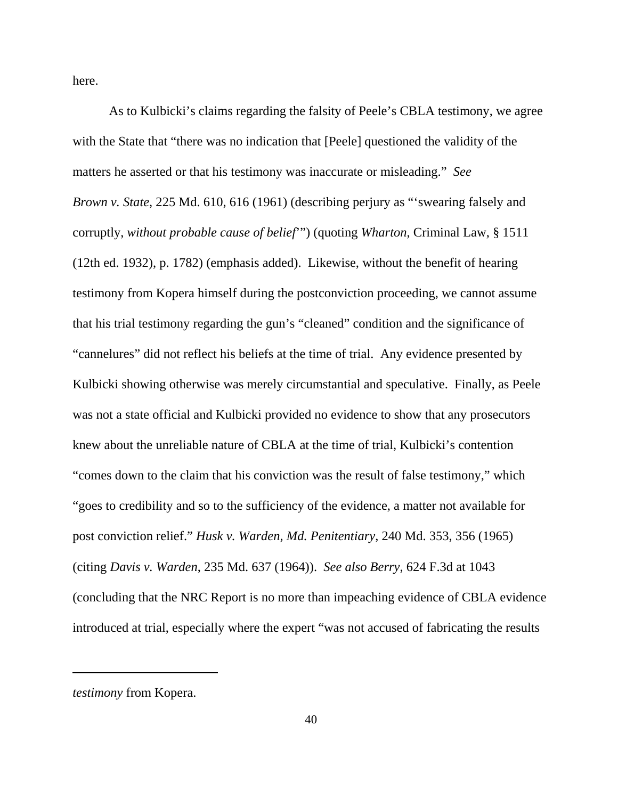here.

As to Kulbicki's claims regarding the falsity of Peele's CBLA testimony, we agree with the State that "there was no indication that [Peele] questioned the validity of the matters he asserted or that his testimony was inaccurate or misleading." *See Brown v. State*, 225 Md. 610, 616 (1961) (describing perjury as "'swearing falsely and corruptly, *without probable cause of belief*'") (quoting *Wharton*, Criminal Law, § 1511 (12th ed. 1932), p. 1782) (emphasis added). Likewise, without the benefit of hearing testimony from Kopera himself during the postconviction proceeding, we cannot assume that his trial testimony regarding the gun's "cleaned" condition and the significance of "cannelures" did not reflect his beliefs at the time of trial. Any evidence presented by Kulbicki showing otherwise was merely circumstantial and speculative. Finally, as Peele was not a state official and Kulbicki provided no evidence to show that any prosecutors knew about the unreliable nature of CBLA at the time of trial, Kulbicki's contention "comes down to the claim that his conviction was the result of false testimony," which "goes to credibility and so to the sufficiency of the evidence, a matter not available for post conviction relief." *Husk v. Warden, Md. Penitentiary*, 240 Md. 353, 356 (1965) (citing *Davis v. Warden*, 235 Md. 637 (1964)). *See also Berry*, 624 F.3d at 1043 (concluding that the NRC Report is no more than impeaching evidence of CBLA evidence introduced at trial, especially where the expert "was not accused of fabricating the results

*testimony* from Kopera.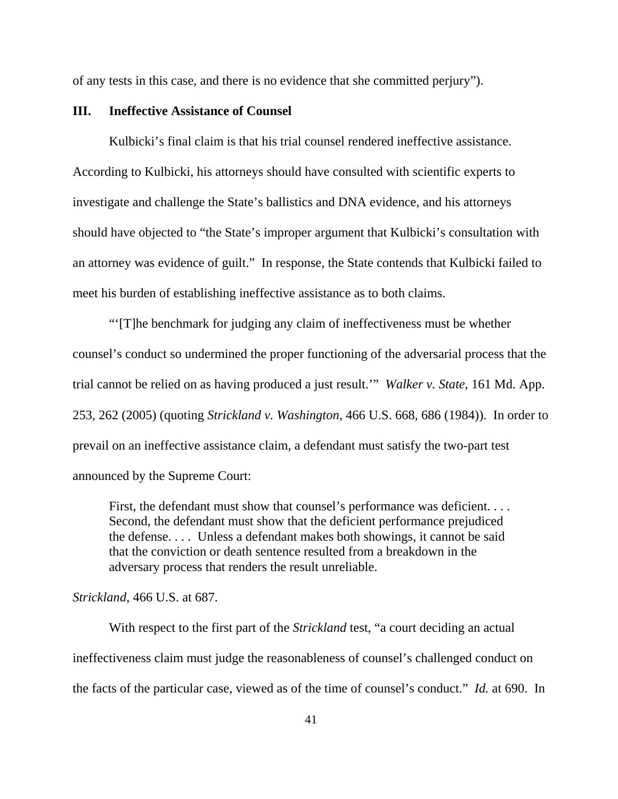of any tests in this case, and there is no evidence that she committed perjury").

#### **III. Ineffective Assistance of Counsel**

Kulbicki's final claim is that his trial counsel rendered ineffective assistance. According to Kulbicki, his attorneys should have consulted with scientific experts to investigate and challenge the State's ballistics and DNA evidence, and his attorneys should have objected to "the State's improper argument that Kulbicki's consultation with an attorney was evidence of guilt." In response, the State contends that Kulbicki failed to meet his burden of establishing ineffective assistance as to both claims.

"'[T]he benchmark for judging any claim of ineffectiveness must be whether counsel's conduct so undermined the proper functioning of the adversarial process that the trial cannot be relied on as having produced a just result.'" *Walker v. State*, 161 Md. App. 253, 262 (2005) (quoting *Strickland v. Washington*, 466 U.S. 668, 686 (1984)). In order to prevail on an ineffective assistance claim, a defendant must satisfy the two-part test announced by the Supreme Court:

First, the defendant must show that counsel's performance was deficient. . . . Second, the defendant must show that the deficient performance prejudiced the defense. . . . Unless a defendant makes both showings, it cannot be said that the conviction or death sentence resulted from a breakdown in the adversary process that renders the result unreliable.

#### *Strickland*, 466 U.S. at 687.

With respect to the first part of the *Strickland* test, "a court deciding an actual ineffectiveness claim must judge the reasonableness of counsel's challenged conduct on the facts of the particular case, viewed as of the time of counsel's conduct." *Id.* at 690. In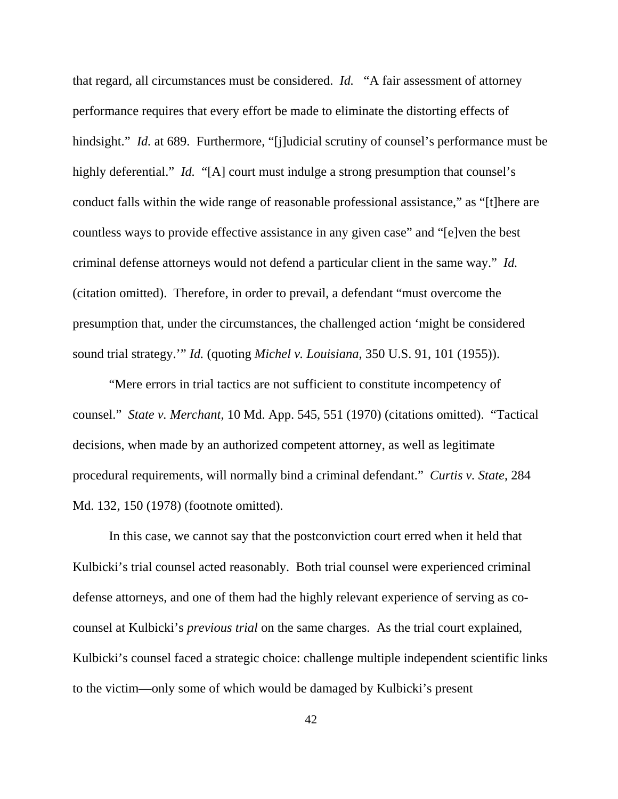that regard, all circumstances must be considered. *Id.* "A fair assessment of attorney performance requires that every effort be made to eliminate the distorting effects of hindsight." *Id.* at 689. Furthermore, "[j]udicial scrutiny of counsel's performance must be highly deferential." *Id.* "[A] court must indulge a strong presumption that counsel's conduct falls within the wide range of reasonable professional assistance," as "[t]here are countless ways to provide effective assistance in any given case" and "[e]ven the best criminal defense attorneys would not defend a particular client in the same way." *Id.* (citation omitted). Therefore, in order to prevail, a defendant "must overcome the presumption that, under the circumstances, the challenged action 'might be considered sound trial strategy.'" *Id.* (quoting *Michel v. Louisiana*, 350 U.S. 91, 101 (1955)).

"Mere errors in trial tactics are not sufficient to constitute incompetency of counsel." *State v. Merchant*, 10 Md. App. 545, 551 (1970) (citations omitted). "Tactical decisions, when made by an authorized competent attorney, as well as legitimate procedural requirements, will normally bind a criminal defendant." *Curtis v. State*, 284 Md. 132, 150 (1978) (footnote omitted).

In this case, we cannot say that the postconviction court erred when it held that Kulbicki's trial counsel acted reasonably. Both trial counsel were experienced criminal defense attorneys, and one of them had the highly relevant experience of serving as cocounsel at Kulbicki's *previous trial* on the same charges. As the trial court explained, Kulbicki's counsel faced a strategic choice: challenge multiple independent scientific links to the victim—only some of which would be damaged by Kulbicki's present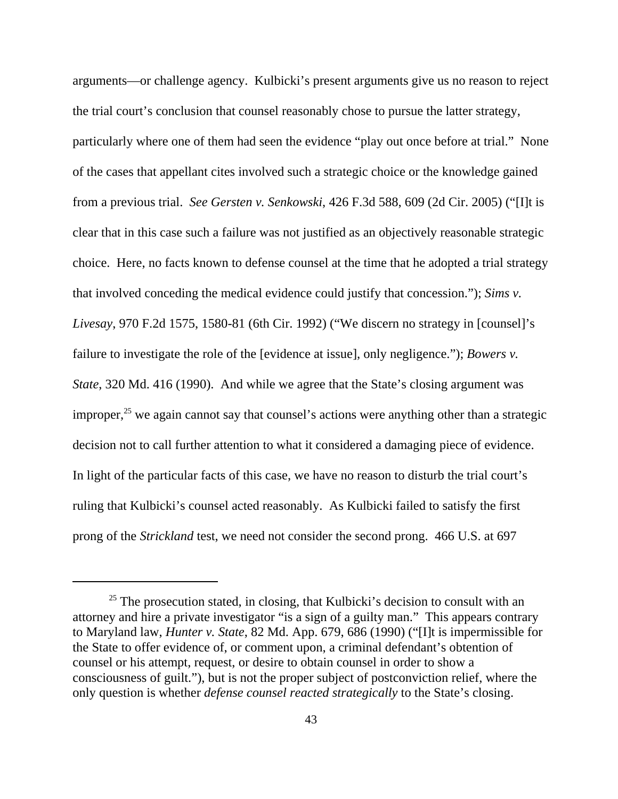arguments—or challenge agency. Kulbicki's present arguments give us no reason to reject the trial court's conclusion that counsel reasonably chose to pursue the latter strategy, particularly where one of them had seen the evidence "play out once before at trial." None of the cases that appellant cites involved such a strategic choice or the knowledge gained from a previous trial. *See Gersten v. Senkowski*, 426 F.3d 588, 609 (2d Cir. 2005) ("[I]t is clear that in this case such a failure was not justified as an objectively reasonable strategic choice. Here, no facts known to defense counsel at the time that he adopted a trial strategy that involved conceding the medical evidence could justify that concession."); *Sims v. Livesay*, 970 F.2d 1575, 1580-81 (6th Cir. 1992) ("We discern no strategy in [counsel]'s failure to investigate the role of the [evidence at issue], only negligence."); *Bowers v. State*, 320 Md. 416 (1990). And while we agree that the State's closing argument was improper, $25$  we again cannot say that counsel's actions were anything other than a strategic decision not to call further attention to what it considered a damaging piece of evidence. In light of the particular facts of this case, we have no reason to disturb the trial court's ruling that Kulbicki's counsel acted reasonably. As Kulbicki failed to satisfy the first prong of the *Strickland* test, we need not consider the second prong. 466 U.S. at 697

 $25$  The prosecution stated, in closing, that Kulbicki's decision to consult with an attorney and hire a private investigator "is a sign of a guilty man." This appears contrary to Maryland law, *Hunter v. State*, 82 Md. App. 679, 686 (1990) ("[I]t is impermissible for the State to offer evidence of, or comment upon, a criminal defendant's obtention of counsel or his attempt, request, or desire to obtain counsel in order to show a consciousness of guilt."), but is not the proper subject of postconviction relief, where the only question is whether *defense counsel reacted strategically* to the State's closing.